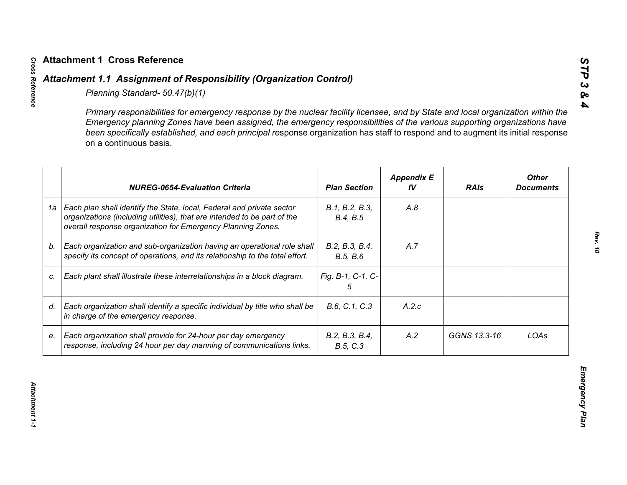|    | Primary responsibilities for emergency response by the nuclear facility licensee, and by State and local organization within the<br>Emergency planning Zones have been assigned, the emergency responsibilities of the various supporting organizations have<br>been specifically established, and each principal response organization has staff to respond and to augment its initial response<br>on a continuous basis. |                            |                         |              |                                  |
|----|----------------------------------------------------------------------------------------------------------------------------------------------------------------------------------------------------------------------------------------------------------------------------------------------------------------------------------------------------------------------------------------------------------------------------|----------------------------|-------------------------|--------------|----------------------------------|
|    | <b>NUREG-0654-Evaluation Criteria</b>                                                                                                                                                                                                                                                                                                                                                                                      | <b>Plan Section</b>        | <b>Appendix E</b><br>IV | <b>RAIs</b>  | <b>Other</b><br><b>Documents</b> |
| 1a | Each plan shall identify the State, local, Federal and private sector<br>organizations (including utilities), that are intended to be part of the<br>overall response organization for Emergency Planning Zones.                                                                                                                                                                                                           | B.1, B.2, B.3,<br>B.4, B.5 | A.8                     |              |                                  |
| b. | Each organization and sub-organization having an operational role shall<br>specify its concept of operations, and its relationship to the total effort.                                                                                                                                                                                                                                                                    | B.2, B.3, B.4,<br>B.5, B.6 | A.7                     |              |                                  |
| C. | Each plant shall illustrate these interrelationships in a block diagram.                                                                                                                                                                                                                                                                                                                                                   | Fig. B-1, C-1, C-<br>5     |                         |              |                                  |
| d. | Each organization shall identify a specific individual by title who shall be<br>in charge of the emergency response.                                                                                                                                                                                                                                                                                                       | B.6, C.1, C.3              | A.2.c                   |              |                                  |
| е. | Each organization shall provide for 24-hour per day emergency<br>response, including 24 hour per day manning of communications links.                                                                                                                                                                                                                                                                                      | B.2, B.3, B.4,<br>B.5, C.3 | A.2                     | GGNS 13.3-16 | LOAs                             |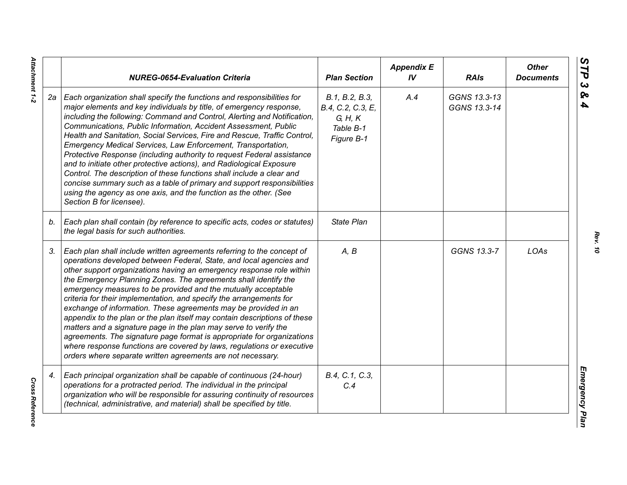|    | <b>NUREG-0654-Evaluation Criteria</b>                                                                                                                                                                                                                                                                                                                                                                                                                                                                                                                                                                                                                                                                                                                                                                                                                                   | <b>Plan Section</b>                                                       | <b>Appendix E</b><br>IV | <b>RAIs</b>                  | <b>Other</b><br><b>Documents</b> |
|----|-------------------------------------------------------------------------------------------------------------------------------------------------------------------------------------------------------------------------------------------------------------------------------------------------------------------------------------------------------------------------------------------------------------------------------------------------------------------------------------------------------------------------------------------------------------------------------------------------------------------------------------------------------------------------------------------------------------------------------------------------------------------------------------------------------------------------------------------------------------------------|---------------------------------------------------------------------------|-------------------------|------------------------------|----------------------------------|
| 2а | Each organization shall specify the functions and responsibilities for<br>major elements and key individuals by title, of emergency response,<br>including the following: Command and Control, Alerting and Notification,<br>Communications, Public Information, Accident Assessment, Public<br>Health and Sanitation, Social Services, Fire and Rescue, Traffic Control,<br>Emergency Medical Services, Law Enforcement, Transportation,<br>Protective Response (including authority to request Federal assistance<br>and to initiate other protective actions), and Radiological Exposure<br>Control. The description of these functions shall include a clear and<br>concise summary such as a table of primary and support responsibilities<br>using the agency as one axis, and the function as the other. (See<br>Section B for licensee).                        | B.1, B.2, B.3,<br>B.4, C.2, C.3, E,<br>G, H, K<br>Table B-1<br>Figure B-1 | A.4                     | GGNS 13.3-13<br>GGNS 13.3-14 |                                  |
| b. | Each plan shall contain (by reference to specific acts, codes or statutes)<br>the legal basis for such authorities.                                                                                                                                                                                                                                                                                                                                                                                                                                                                                                                                                                                                                                                                                                                                                     | <b>State Plan</b>                                                         |                         |                              |                                  |
| 3. | Each plan shall include written agreements referring to the concept of<br>operations developed between Federal, State, and local agencies and<br>other support organizations having an emergency response role within<br>the Emergency Planning Zones. The agreements shall identify the<br>emergency measures to be provided and the mutually acceptable<br>criteria for their implementation, and specify the arrangements for<br>exchange of information. These agreements may be provided in an<br>appendix to the plan or the plan itself may contain descriptions of these<br>matters and a signature page in the plan may serve to verify the<br>agreements. The signature page format is appropriate for organizations<br>where response functions are covered by laws, regulations or executive<br>orders where separate written agreements are not necessary. | A, B                                                                      |                         | GGNS 13.3-7                  | LOAs                             |
| 4. | Each principal organization shall be capable of continuous (24-hour)<br>operations for a protracted period. The individual in the principal<br>organization who will be responsible for assuring continuity of resources<br>(technical, administrative, and material) shall be specified by title.                                                                                                                                                                                                                                                                                                                                                                                                                                                                                                                                                                      | B.4, C.1, C.3,<br>C.4                                                     |                         |                              |                                  |

*Rev. 10*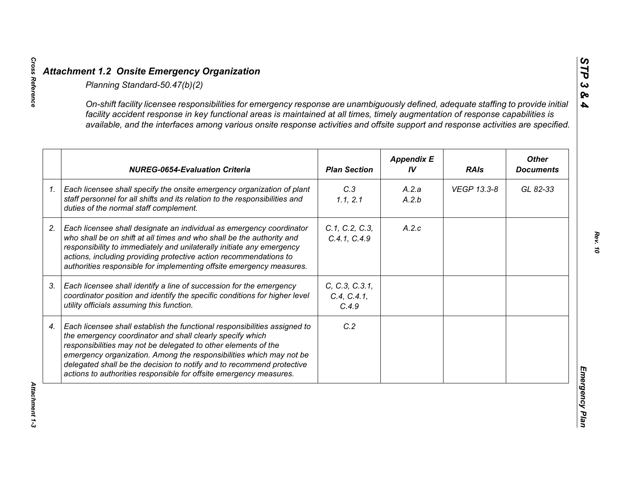|    | On-shift facility licensee responsibilities for emergency response are unambiguously defined, adequate staffing to provide initial<br>facility accident response in key functional areas is maintained at all times, timely augmentation of response capabilities is<br>available, and the interfaces among various onsite response activities and offsite support and response activities are specified.                      |                                        |                         |             |                                  |
|----|--------------------------------------------------------------------------------------------------------------------------------------------------------------------------------------------------------------------------------------------------------------------------------------------------------------------------------------------------------------------------------------------------------------------------------|----------------------------------------|-------------------------|-------------|----------------------------------|
|    | <b>NUREG-0654-Evaluation Criteria</b>                                                                                                                                                                                                                                                                                                                                                                                          | <b>Plan Section</b>                    | <b>Appendix E</b><br>IV | <b>RAIs</b> | <b>Other</b><br><b>Documents</b> |
| 1. | Each licensee shall specify the onsite emergency organization of plant<br>staff personnel for all shifts and its relation to the responsibilities and<br>duties of the normal staff complement.                                                                                                                                                                                                                                | C.3<br>1.1, 2.1                        | A.2.a<br>A.2.b          | VEGP 13.3-8 | GL 82-33                         |
|    | Each licensee shall designate an individual as emergency coordinator<br>who shall be on shift at all times and who shall be the authority and<br>responsibility to immediately and unilaterally initiate any emergency<br>actions, including providing protective action recommendations to<br>authorities responsible for implementing offsite emergency measures.                                                            | C.1, C.2, C.3,<br>C.4.1, C.4.9         | A.2.c                   |             |                                  |
|    | Each licensee shall identify a line of succession for the emergency<br>coordinator position and identify the specific conditions for higher level<br>utility officials assuming this function.                                                                                                                                                                                                                                 | C, C.3, C.3.1,<br>C.4, C.4.1,<br>C.4.9 |                         |             |                                  |
|    | Each licensee shall establish the functional responsibilities assigned to<br>the emergency coordinator and shall clearly specify which<br>responsibilities may not be delegated to other elements of the<br>emergency organization. Among the responsibilities which may not be<br>delegated shall be the decision to notify and to recommend protective<br>actions to authorities responsible for offsite emergency measures. | C.2                                    |                         |             |                                  |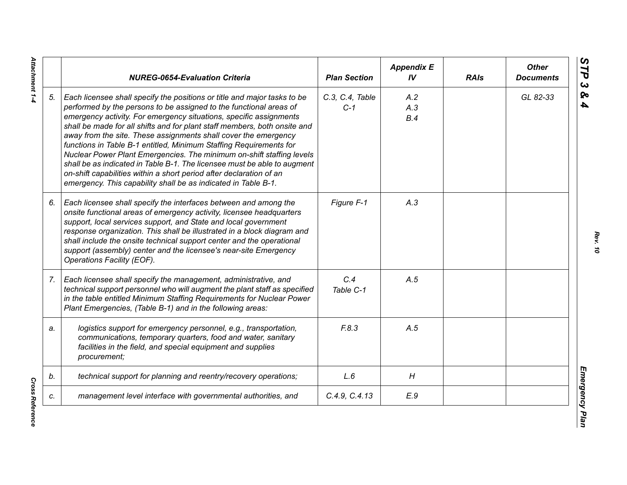|    | <b>NUREG-0654-Evaluation Criteria</b>                                                                                                                                                                                                                                                                                                                                                                                                                                                                                                                                                                                                                                                                                                    | <b>Plan Section</b>      | <b>Appendix E</b><br>IV | <b>RAIs</b> | <b>Other</b><br><b>Documents</b> |
|----|------------------------------------------------------------------------------------------------------------------------------------------------------------------------------------------------------------------------------------------------------------------------------------------------------------------------------------------------------------------------------------------------------------------------------------------------------------------------------------------------------------------------------------------------------------------------------------------------------------------------------------------------------------------------------------------------------------------------------------------|--------------------------|-------------------------|-------------|----------------------------------|
| 5. | Each licensee shall specify the positions or title and major tasks to be<br>performed by the persons to be assigned to the functional areas of<br>emergency activity. For emergency situations, specific assignments<br>shall be made for all shifts and for plant staff members, both onsite and<br>away from the site. These assignments shall cover the emergency<br>functions in Table B-1 entitled, Minimum Staffing Requirements for<br>Nuclear Power Plant Emergencies. The minimum on-shift staffing levels<br>shall be as indicated in Table B-1. The licensee must be able to augment<br>on-shift capabilities within a short period after declaration of an<br>emergency. This capability shall be as indicated in Table B-1. | C.3, C.4, Table<br>$C-1$ | A.2<br>A.3<br>B.4       |             | GL 82-33                         |
| 6. | Each licensee shall specify the interfaces between and among the<br>onsite functional areas of emergency activity, licensee headquarters<br>support, local services support, and State and local government<br>response organization. This shall be illustrated in a block diagram and<br>shall include the onsite technical support center and the operational<br>support (assembly) center and the licensee's near-site Emergency<br>Operations Facility (EOF).                                                                                                                                                                                                                                                                        | Figure F-1               | A.3                     |             |                                  |
| 7. | Each licensee shall specify the management, administrative, and<br>technical support personnel who will augment the plant staff as specified<br>in the table entitled Minimum Staffing Requirements for Nuclear Power<br>Plant Emergencies, (Table B-1) and in the following areas:                                                                                                                                                                                                                                                                                                                                                                                                                                                      | C.4<br>Table C-1         | A.5                     |             |                                  |
| a. | logistics support for emergency personnel, e.g., transportation,<br>communications, temporary quarters, food and water, sanitary<br>facilities in the field, and special equipment and supplies<br>procurement;                                                                                                                                                                                                                                                                                                                                                                                                                                                                                                                          | F.8.3                    | A.5                     |             |                                  |
| b. | technical support for planning and reentry/recovery operations;                                                                                                                                                                                                                                                                                                                                                                                                                                                                                                                                                                                                                                                                          | L.6                      | H                       |             |                                  |
| C. | management level interface with governmental authorities, and                                                                                                                                                                                                                                                                                                                                                                                                                                                                                                                                                                                                                                                                            | C.4.9, C.4.13            | E.9                     |             |                                  |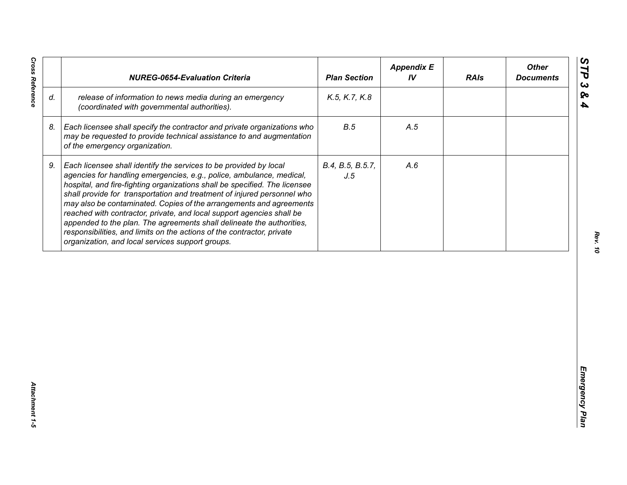| release of information to news media during an emergency<br>K.5, K.7, K.8<br>(coordinated with governmental authorities).<br>B.5<br>Each licensee shall specify the contractor and private organizations who<br>A.5<br>may be requested to provide technical assistance to and augmentation<br>of the emergency organization.<br>Each licensee shall identify the services to be provided by local<br>B.4, B.5, B.5.7,<br>A.6<br>agencies for handling emergencies, e.g., police, ambulance, medical,<br>J.5<br>hospital, and fire-fighting organizations shall be specified. The licensee<br>shall provide for transportation and treatment of injured personnel who<br>may also be contaminated. Copies of the arrangements and agreements<br>reached with contractor, private, and local support agencies shall be | appended to the plan. The agreements shall delineate the authorities,<br>responsibilities, and limits on the actions of the contractor, private<br>organization, and local services support groups. |    | <b>NUREG-0654-Evaluation Criteria</b> | <b>Plan Section</b> | <b>Appendix E</b><br>IV | <b>RAIs</b> | <b>Other</b><br><b>Documents</b> |
|-----------------------------------------------------------------------------------------------------------------------------------------------------------------------------------------------------------------------------------------------------------------------------------------------------------------------------------------------------------------------------------------------------------------------------------------------------------------------------------------------------------------------------------------------------------------------------------------------------------------------------------------------------------------------------------------------------------------------------------------------------------------------------------------------------------------------|-----------------------------------------------------------------------------------------------------------------------------------------------------------------------------------------------------|----|---------------------------------------|---------------------|-------------------------|-------------|----------------------------------|
|                                                                                                                                                                                                                                                                                                                                                                                                                                                                                                                                                                                                                                                                                                                                                                                                                       |                                                                                                                                                                                                     | d. |                                       |                     |                         |             |                                  |
|                                                                                                                                                                                                                                                                                                                                                                                                                                                                                                                                                                                                                                                                                                                                                                                                                       |                                                                                                                                                                                                     | 8. |                                       |                     |                         |             |                                  |
|                                                                                                                                                                                                                                                                                                                                                                                                                                                                                                                                                                                                                                                                                                                                                                                                                       |                                                                                                                                                                                                     | 9. |                                       |                     |                         |             |                                  |
|                                                                                                                                                                                                                                                                                                                                                                                                                                                                                                                                                                                                                                                                                                                                                                                                                       |                                                                                                                                                                                                     |    |                                       |                     |                         |             |                                  |
|                                                                                                                                                                                                                                                                                                                                                                                                                                                                                                                                                                                                                                                                                                                                                                                                                       |                                                                                                                                                                                                     |    |                                       |                     |                         |             |                                  |
|                                                                                                                                                                                                                                                                                                                                                                                                                                                                                                                                                                                                                                                                                                                                                                                                                       |                                                                                                                                                                                                     |    |                                       |                     |                         |             |                                  |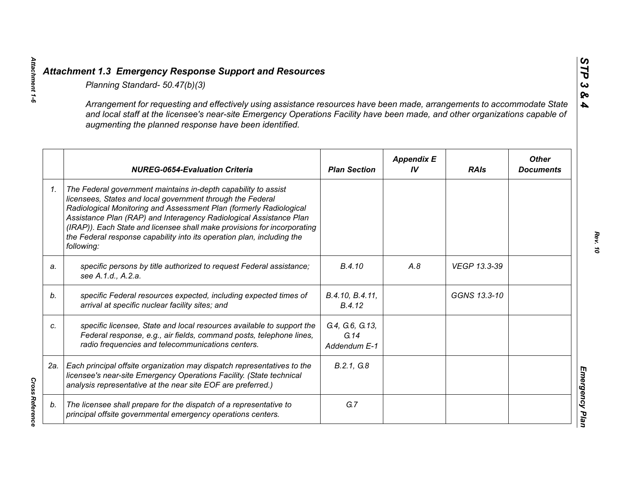|    | Planning Standard- 50.47(b)(3)                                                                                                                                                                                                                                                                                                                                                                                                               |                                         |                         |              |                                  |
|----|----------------------------------------------------------------------------------------------------------------------------------------------------------------------------------------------------------------------------------------------------------------------------------------------------------------------------------------------------------------------------------------------------------------------------------------------|-----------------------------------------|-------------------------|--------------|----------------------------------|
|    | Arrangement for requesting and effectively using assistance resources have been made, arrangements to accommodate State<br>and local staff at the licensee's near-site Emergency Operations Facility have been made, and other organizations capable of<br>augmenting the planned response have been identified.                                                                                                                             |                                         |                         |              |                                  |
|    | <b>NUREG-0654-Evaluation Criteria</b>                                                                                                                                                                                                                                                                                                                                                                                                        | <b>Plan Section</b>                     | <b>Appendix E</b><br>IV | <b>RAIs</b>  | <b>Other</b><br><b>Documents</b> |
| 1. | The Federal government maintains in-depth capability to assist<br>licensees, States and local government through the Federal<br>Radiological Monitoring and Assessment Plan (formerly Radiological<br>Assistance Plan (RAP) and Interagency Radiological Assistance Plan<br>(IRAP)). Each State and licensee shall make provisions for incorporating<br>the Federal response capability into its operation plan, including the<br>following: |                                         |                         |              |                                  |
| a. | specific persons by title authorized to request Federal assistance;<br>see A.1.d., A.2.a.                                                                                                                                                                                                                                                                                                                                                    | B.4.10                                  | A.8                     | VEGP 13.3-39 |                                  |
| b. | specific Federal resources expected, including expected times of<br>arrival at specific nuclear facility sites; and                                                                                                                                                                                                                                                                                                                          | B.4.10, B.4.11,<br>B.4.12               |                         | GGNS 13.3-10 |                                  |
| C. | specific licensee, State and local resources available to support the<br>Federal response, e.g., air fields, command posts, telephone lines,<br>radio frequencies and telecommunications centers.                                                                                                                                                                                                                                            | G.4, G.6, G.13,<br>G.14<br>Addendum E-1 |                         |              |                                  |
|    | 2a.   Each principal offsite organization may dispatch representatives to the<br>licensee's near-site Emergency Operations Facility. (State technical<br>analysis representative at the near site EOF are preferred.)                                                                                                                                                                                                                        | B.2.1, G.8                              |                         |              |                                  |
| b. | The licensee shall prepare for the dispatch of a representative to<br>principal offsite governmental emergency operations centers.                                                                                                                                                                                                                                                                                                           | G.7                                     |                         |              |                                  |

*Attachment 1-6*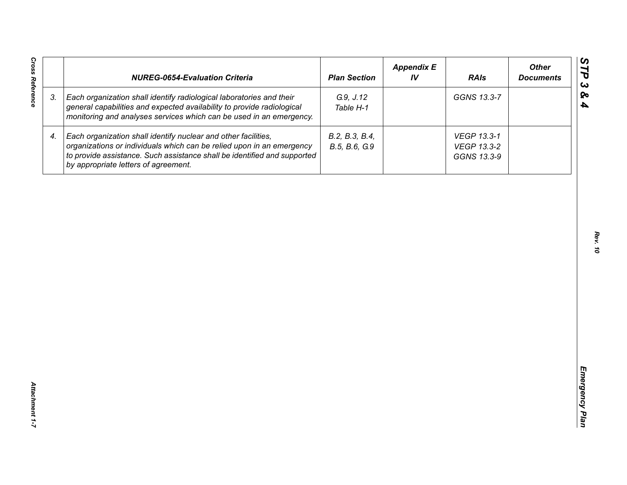| <b>Cross Reference</b> | <b>NUREG-0654-Evaluation Criteria</b>                                                                                                                                                                                                                       | <b>Plan Section</b>             | <b>Appendix E</b><br>IV | <b>RAIs</b>                               | <b>Other</b><br><b>Documents</b> |
|------------------------|-------------------------------------------------------------------------------------------------------------------------------------------------------------------------------------------------------------------------------------------------------------|---------------------------------|-------------------------|-------------------------------------------|----------------------------------|
| 3.                     | Each organization shall identify radiological laboratories and their<br>general capabilities and expected availability to provide radiological<br>monitoring and analyses services which can be used in an emergency.                                       | G.9, J.12<br>Table H-1          |                         | GGNS 13.3-7                               |                                  |
| 4.                     | Each organization shall identify nuclear and other facilities,<br>organizations or individuals which can be relied upon in an emergency<br>to provide assistance. Such assistance shall be identified and supported<br>by appropriate letters of agreement. | B.2, B.3, B.4,<br>B.5, B.6, G.9 |                         | VEGP 13.3-1<br>VEGP 13.3-2<br>GGNS 13.3-9 |                                  |
|                        |                                                                                                                                                                                                                                                             |                                 |                         |                                           |                                  |
|                        |                                                                                                                                                                                                                                                             |                                 |                         |                                           |                                  |
|                        |                                                                                                                                                                                                                                                             |                                 |                         |                                           |                                  |
|                        |                                                                                                                                                                                                                                                             |                                 |                         |                                           |                                  |
|                        |                                                                                                                                                                                                                                                             |                                 |                         |                                           |                                  |
|                        |                                                                                                                                                                                                                                                             |                                 |                         |                                           |                                  |
| Attachment 1-7         |                                                                                                                                                                                                                                                             |                                 |                         |                                           |                                  |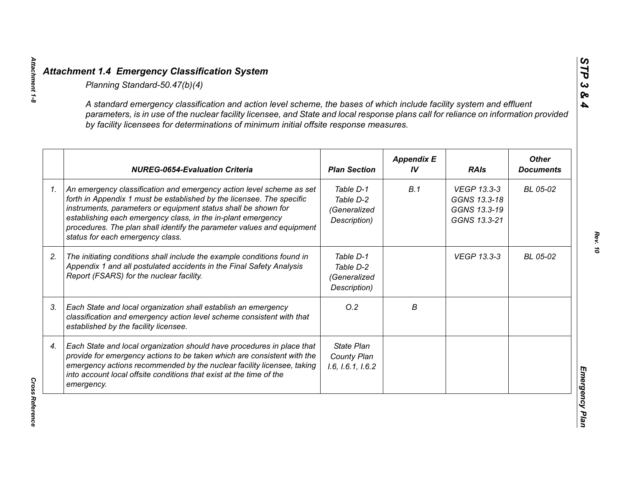| A standard emergency classification and action level scheme, the bases of which include facility system and effluent<br>parameters, is in use of the nuclear facility licensee, and State and local response plans call for reliance on information provided<br>by facility licensees for determinations of minimum initial offsite response measures.                                        |                                                        |                         |                                                             |                                  |
|-----------------------------------------------------------------------------------------------------------------------------------------------------------------------------------------------------------------------------------------------------------------------------------------------------------------------------------------------------------------------------------------------|--------------------------------------------------------|-------------------------|-------------------------------------------------------------|----------------------------------|
| <b>NUREG-0654-Evaluation Criteria</b>                                                                                                                                                                                                                                                                                                                                                         | <b>Plan Section</b>                                    | <b>Appendix E</b><br>IV | <b>RAIs</b>                                                 | <b>Other</b><br><b>Documents</b> |
| An emergency classification and emergency action level scheme as set<br>forth in Appendix 1 must be established by the licensee. The specific<br>instruments, parameters or equipment status shall be shown for<br>establishing each emergency class, in the in-plant emergency<br>procedures. The plan shall identify the parameter values and equipment<br>status for each emergency class. | Table D-1<br>Table D-2<br>(Generalized<br>Description) | B.1                     | VEGP 13.3-3<br>GGNS 13.3-18<br>GGNS 13.3-19<br>GGNS 13.3-21 | BL 05-02                         |
| The initiating conditions shall include the example conditions found in<br>Appendix 1 and all postulated accidents in the Final Safety Analysis<br>Report (FSARS) for the nuclear facility.                                                                                                                                                                                                   | Table D-1<br>Table D-2<br>(Generalized<br>Description) |                         | <b>VEGP 13.3-3</b>                                          | BL 05-02                         |
| Each State and local organization shall establish an emergency<br>classification and emergency action level scheme consistent with that<br>established by the facility licensee.                                                                                                                                                                                                              | O.2                                                    | В                       |                                                             |                                  |
| Each State and local organization should have procedures in place that<br>provide for emergency actions to be taken which are consistent with the<br>emergency actions recommended by the nuclear facility licensee, taking<br>into account local offsite conditions that exist at the time of the<br>emergency.                                                                              | <b>State Plan</b><br>County Plan<br>1.6, 1.6.1, 1.6.2  |                         |                                                             |                                  |

*Attachment 1-8*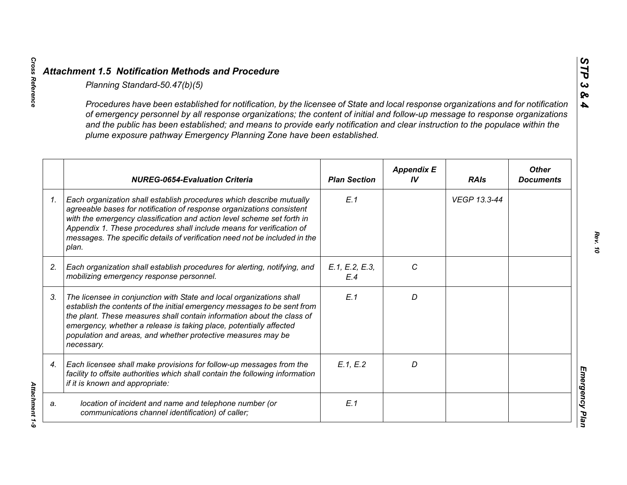*Cross Reference Attachment 1-9*

Attachment 1-9

|                 | Planning Standard-50.47(b)(5)                                                                                                                                                                                                                                                                                                                                                                                                                                               |                       |                         |              |                                  |
|-----------------|-----------------------------------------------------------------------------------------------------------------------------------------------------------------------------------------------------------------------------------------------------------------------------------------------------------------------------------------------------------------------------------------------------------------------------------------------------------------------------|-----------------------|-------------------------|--------------|----------------------------------|
|                 | Procedures have been established for notification, by the licensee of State and local response organizations and for notification<br>of emergency personnel by all response organizations; the content of initial and follow-up message to response organizations<br>and the public has been established; and means to provide early notification and clear instruction to the populace within the<br>plume exposure pathway Emergency Planning Zone have been established. |                       |                         |              |                                  |
|                 | <b>NUREG-0654-Evaluation Criteria</b>                                                                                                                                                                                                                                                                                                                                                                                                                                       | <b>Plan Section</b>   | <b>Appendix E</b><br>IV | <b>RAIs</b>  | <b>Other</b><br><b>Documents</b> |
| $\mathcal{I}$ . | Each organization shall establish procedures which describe mutually<br>agreeable bases for notification of response organizations consistent<br>with the emergency classification and action level scheme set forth in<br>Appendix 1. These procedures shall include means for verification of<br>messages. The specific details of verification need not be included in the<br>plan.                                                                                      | E.1                   |                         | VEGP 13.3-44 |                                  |
| 2.              | Each organization shall establish procedures for alerting, notifying, and<br>mobilizing emergency response personnel.                                                                                                                                                                                                                                                                                                                                                       | E.1, E.2, E.3,<br>E.4 | C                       |              |                                  |
| 3.              | The licensee in conjunction with State and local organizations shall<br>establish the contents of the initial emergency messages to be sent from<br>the plant. These measures shall contain information about the class of<br>emergency, whether a release is taking place, potentially affected<br>population and areas, and whether protective measures may be<br>necessary.                                                                                              | E.1                   | D                       |              |                                  |
| 4.              | Each licensee shall make provisions for follow-up messages from the<br>facility to offsite authorities which shall contain the following information<br>if it is known and appropriate:                                                                                                                                                                                                                                                                                     | E.1, E.2              | D                       |              |                                  |
| a.              | location of incident and name and telephone number (or<br>communications channel identification) of caller;                                                                                                                                                                                                                                                                                                                                                                 | E.1                   |                         |              |                                  |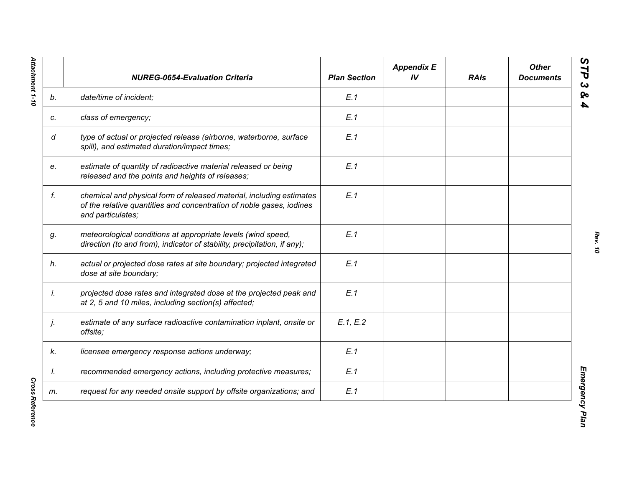|    | <b>NUREG-0654-Evaluation Criteria</b>                                                                                                                             | <b>Plan Section</b> | <b>Appendix E</b><br>IV | <b>RAIs</b> | <b>Other</b><br><b>Documents</b> |
|----|-------------------------------------------------------------------------------------------------------------------------------------------------------------------|---------------------|-------------------------|-------------|----------------------------------|
| b. | date/time of incident;                                                                                                                                            | E.1                 |                         |             |                                  |
| c. | class of emergency;                                                                                                                                               | E.1                 |                         |             |                                  |
| d  | type of actual or projected release (airborne, waterborne, surface<br>spill), and estimated duration/impact times;                                                | E.1                 |                         |             |                                  |
| e. | estimate of quantity of radioactive material released or being<br>released and the points and heights of releases;                                                | E.1                 |                         |             |                                  |
| f. | chemical and physical form of released material, including estimates<br>of the relative quantities and concentration of noble gases, iodines<br>and particulates; | E.1                 |                         |             |                                  |
| g. | meteorological conditions at appropriate levels (wind speed,<br>direction (to and from), indicator of stability, precipitation, if any);                          | E.1                 |                         |             |                                  |
| h. | actual or projected dose rates at site boundary; projected integrated<br>dose at site boundary;                                                                   | E.1                 |                         |             |                                  |
| İ. | projected dose rates and integrated dose at the projected peak and<br>at 2, 5 and 10 miles, including section(s) affected;                                        | E.1                 |                         |             |                                  |
| j. | estimate of any surface radioactive contamination inplant, onsite or<br>offsite;                                                                                  | E.1, E.2            |                         |             |                                  |
| k. | licensee emergency response actions underway;                                                                                                                     | E.1                 |                         |             |                                  |
| I. | recommended emergency actions, including protective measures;                                                                                                     | E.1                 |                         |             |                                  |
| m. | request for any needed onsite support by offsite organizations; and                                                                                               | E.1                 |                         |             |                                  |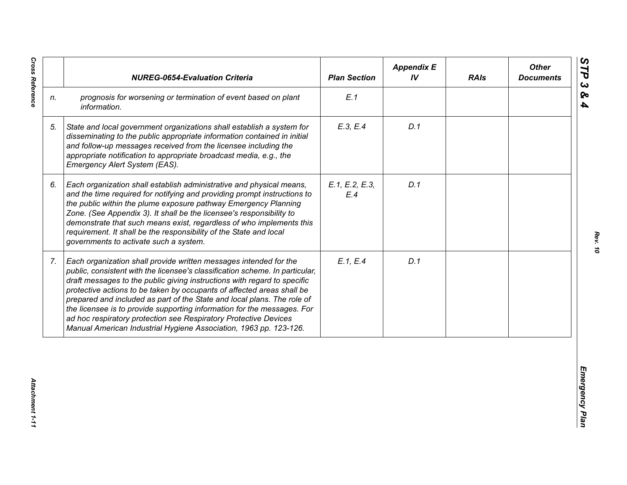|                | <b>NUREG-0654-Evaluation Criteria</b>                                                                                                                                                                                                                                                                                                                                                                                                                                                                                                                                                                  | <b>Plan Section</b>   | <b>Appendix E</b><br>IV | <b>RAIs</b> | <b>Other</b><br><b>Documents</b> |
|----------------|--------------------------------------------------------------------------------------------------------------------------------------------------------------------------------------------------------------------------------------------------------------------------------------------------------------------------------------------------------------------------------------------------------------------------------------------------------------------------------------------------------------------------------------------------------------------------------------------------------|-----------------------|-------------------------|-------------|----------------------------------|
| n.             | prognosis for worsening or termination of event based on plant<br>information.                                                                                                                                                                                                                                                                                                                                                                                                                                                                                                                         | E.1                   |                         |             |                                  |
| 5.             | State and local government organizations shall establish a system for<br>disseminating to the public appropriate information contained in initial<br>and follow-up messages received from the licensee including the<br>appropriate notification to appropriate broadcast media, e.g., the<br>Emergency Alert System (EAS).                                                                                                                                                                                                                                                                            | E.3, E.4              | D.1                     |             |                                  |
| 6.             | Each organization shall establish administrative and physical means,<br>and the time required for notifying and providing prompt instructions to<br>the public within the plume exposure pathway Emergency Planning<br>Zone. (See Appendix 3). It shall be the licensee's responsibility to<br>demonstrate that such means exist, regardless of who implements this<br>requirement. It shall be the responsibility of the State and local<br>governments to activate such a system.                                                                                                                    | E.1, E.2, E.3,<br>E.4 | D.1                     |             |                                  |
| 7 <sub>1</sub> | Each organization shall provide written messages intended for the<br>public, consistent with the licensee's classification scheme. In particular,<br>draft messages to the public giving instructions with regard to specific<br>protective actions to be taken by occupants of affected areas shall be<br>prepared and included as part of the State and local plans. The role of<br>the licensee is to provide supporting information for the messages. For<br>ad hoc respiratory protection see Respiratory Protective Devices<br>Manual American Industrial Hygiene Association, 1963 pp. 123-126. | E.1, E.4              | D.1                     |             |                                  |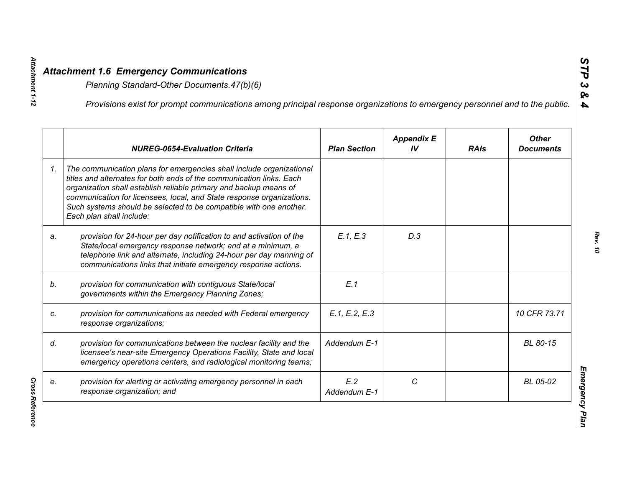*Attachment 1-12*

Attachment 1-12

*Cross Reference* 

|    | Provisions exist for prompt communications among principal response organizations to emergency personnel and to the public.                                                                                                                                                                                                                                                                  |                     |                         |             |                                  |
|----|----------------------------------------------------------------------------------------------------------------------------------------------------------------------------------------------------------------------------------------------------------------------------------------------------------------------------------------------------------------------------------------------|---------------------|-------------------------|-------------|----------------------------------|
|    | <b>NUREG-0654-Evaluation Criteria</b>                                                                                                                                                                                                                                                                                                                                                        | <b>Plan Section</b> | <b>Appendix E</b><br>IV | <b>RAIs</b> | <b>Other</b><br><b>Documents</b> |
| 1. | The communication plans for emergencies shall include organizational<br>titles and alternates for both ends of the communication links. Each<br>organization shall establish reliable primary and backup means of<br>communication for licensees, local, and State response organizations.<br>Such systems should be selected to be compatible with one another.<br>Each plan shall include: |                     |                         |             |                                  |
| a. | provision for 24-hour per day notification to and activation of the<br>State/local emergency response network; and at a minimum, a<br>telephone link and alternate, including 24-hour per day manning of<br>communications links that initiate emergency response actions.                                                                                                                   | E.1, E.3            | D.3                     |             |                                  |
|    | provision for communication with contiguous State/local<br>governments within the Emergency Planning Zones;                                                                                                                                                                                                                                                                                  | E.1                 |                         |             |                                  |
|    | provision for communications as needed with Federal emergency<br>response organizations;                                                                                                                                                                                                                                                                                                     | E.1, E.2, E.3       |                         |             | 10 CFR 73.71                     |
|    | provision for communications between the nuclear facility and the<br>licensee's near-site Emergency Operations Facility, State and local<br>emergency operations centers, and radiological monitoring teams;                                                                                                                                                                                 | Addendum E-1        |                         |             | BL 80-15                         |
|    | provision for alerting or activating emergency personnel in each<br>response organization; and                                                                                                                                                                                                                                                                                               | E.2<br>Addendum E-1 | C                       |             | BL 05-02                         |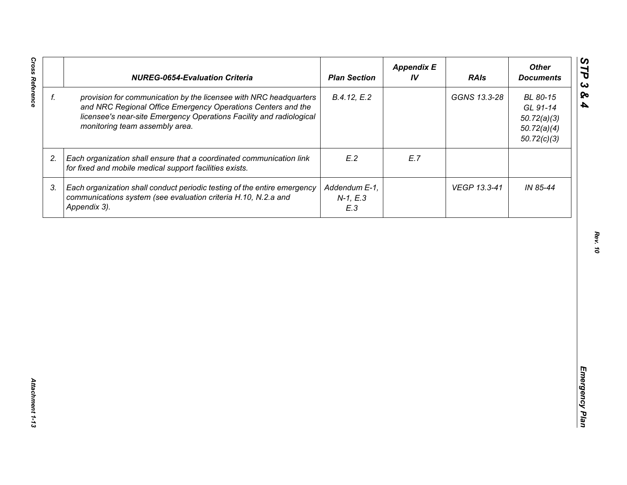| f. |                                                                                                                                                                                                                                            | <b>Plan Section</b>                | IV  | <b>RAIs</b>  | <b>Other</b><br><b>Documents</b>                                  |
|----|--------------------------------------------------------------------------------------------------------------------------------------------------------------------------------------------------------------------------------------------|------------------------------------|-----|--------------|-------------------------------------------------------------------|
|    | provision for communication by the licensee with NRC headquarters<br>and NRC Regional Office Emergency Operations Centers and the<br>licensee's near-site Emergency Operations Facility and radiological<br>monitoring team assembly area. | B.4.12, E.2                        |     | GGNS 13.3-28 | BL 80-15<br>GL 91-14<br>50.72(a)(3)<br>50.72(a)(4)<br>50.72(c)(3) |
| 2. | Each organization shall ensure that a coordinated communication link<br>for fixed and mobile medical support facilities exists.                                                                                                            | E.2                                | E.7 |              |                                                                   |
| 3. | Each organization shall conduct periodic testing of the entire emergency<br>communications system (see evaluation criteria H.10, N.2.a and<br>Appendix 3).                                                                                 | Addendum E-1,<br>$N-1, E.3$<br>E.3 |     | VEGP 13.3-41 | IN 85-44                                                          |
|    |                                                                                                                                                                                                                                            |                                    |     |              |                                                                   |
|    |                                                                                                                                                                                                                                            |                                    |     |              |                                                                   |
|    |                                                                                                                                                                                                                                            |                                    |     |              |                                                                   |
|    |                                                                                                                                                                                                                                            |                                    |     |              |                                                                   |
|    |                                                                                                                                                                                                                                            |                                    |     |              |                                                                   |
|    |                                                                                                                                                                                                                                            |                                    |     |              |                                                                   |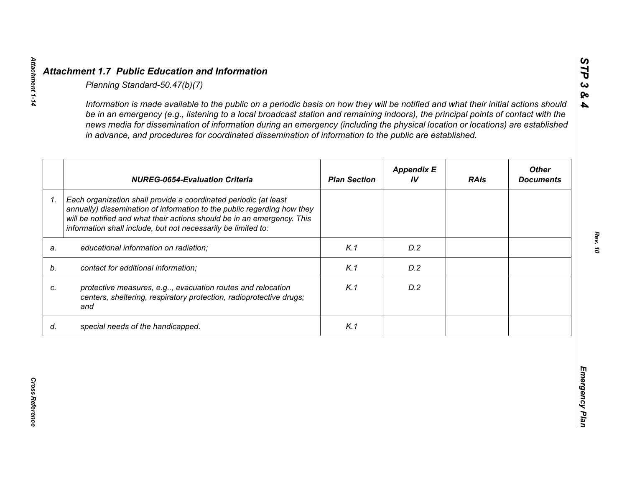|    | <b>NUREG-0654-Evaluation Criteria</b>                                                                                                                                                                                                                                                   | <b>Plan Section</b> | <b>Appendix E</b><br>IV | <b>RAIs</b> | <b>Other</b><br><b>Documents</b> |
|----|-----------------------------------------------------------------------------------------------------------------------------------------------------------------------------------------------------------------------------------------------------------------------------------------|---------------------|-------------------------|-------------|----------------------------------|
| 1. | Each organization shall provide a coordinated periodic (at least<br>annually) dissemination of information to the public regarding how they<br>will be notified and what their actions should be in an emergency. This<br>information shall include, but not necessarily be limited to: |                     |                         |             |                                  |
| a. | educational information on radiation;                                                                                                                                                                                                                                                   | K.1                 | D.2                     |             |                                  |
| b. | contact for additional information;                                                                                                                                                                                                                                                     | K.1                 | D.2                     |             |                                  |
|    | protective measures, e.g, evacuation routes and relocation<br>centers, sheltering, respiratory protection, radioprotective drugs;<br>and                                                                                                                                                | K.1                 | D.2                     |             |                                  |
| d. | special needs of the handicapped.                                                                                                                                                                                                                                                       | K.1                 |                         |             |                                  |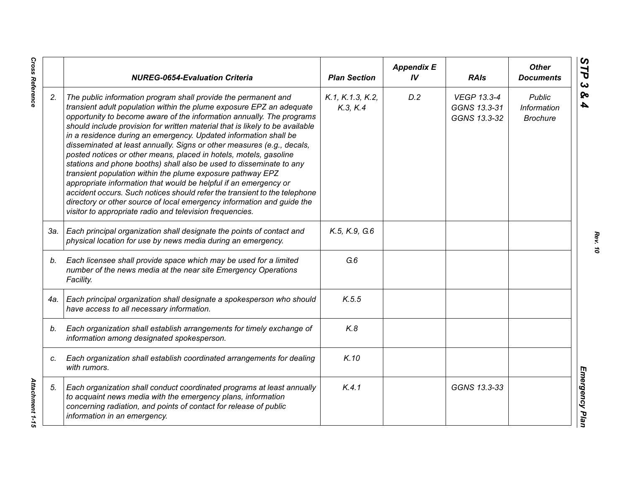|     | <b>NUREG-0654-Evaluation Criteria</b>                                                                                                                                                                                                                                                                                                                                                                                                                                                                                                                                                                                                                                                                                                                                                                                                                                                                                                          | <b>Plan Section</b>          | <b>Appendix E</b><br>IV | <b>RAIs</b>                                        | <b>Other</b><br><b>Documents</b>                |
|-----|------------------------------------------------------------------------------------------------------------------------------------------------------------------------------------------------------------------------------------------------------------------------------------------------------------------------------------------------------------------------------------------------------------------------------------------------------------------------------------------------------------------------------------------------------------------------------------------------------------------------------------------------------------------------------------------------------------------------------------------------------------------------------------------------------------------------------------------------------------------------------------------------------------------------------------------------|------------------------------|-------------------------|----------------------------------------------------|-------------------------------------------------|
| 2.  | The public information program shall provide the permanent and<br>transient adult population within the plume exposure EPZ an adequate<br>opportunity to become aware of the information annually. The programs<br>should include provision for written material that is likely to be available<br>in a residence during an emergency. Updated information shall be<br>disseminated at least annually. Signs or other measures (e.g., decals,<br>posted notices or other means, placed in hotels, motels, gasoline<br>stations and phone booths) shall also be used to disseminate to any<br>transient population within the plume exposure pathway EPZ<br>appropriate information that would be helpful if an emergency or<br>accident occurs. Such notices should refer the transient to the telephone<br>directory or other source of local emergency information and guide the<br>visitor to appropriate radio and television frequencies. | K.1, K.1.3, K.2,<br>K.3, K.4 | D.2                     | <b>VEGP 13.3-4</b><br>GGNS 13.3-31<br>GGNS 13.3-32 | <b>Public</b><br>Information<br><b>Brochure</b> |
| 3а. | Each principal organization shall designate the points of contact and<br>physical location for use by news media during an emergency.                                                                                                                                                                                                                                                                                                                                                                                                                                                                                                                                                                                                                                                                                                                                                                                                          | K.5, K.9, G.6                |                         |                                                    |                                                 |
| b.  | Each licensee shall provide space which may be used for a limited<br>number of the news media at the near site Emergency Operations<br>Facility.                                                                                                                                                                                                                                                                                                                                                                                                                                                                                                                                                                                                                                                                                                                                                                                               | G.6                          |                         |                                                    |                                                 |
| 4a. | Each principal organization shall designate a spokesperson who should<br>have access to all necessary information.                                                                                                                                                                                                                                                                                                                                                                                                                                                                                                                                                                                                                                                                                                                                                                                                                             | K.5.5                        |                         |                                                    |                                                 |
| b.  | Each organization shall establish arrangements for timely exchange of<br>information among designated spokesperson.                                                                                                                                                                                                                                                                                                                                                                                                                                                                                                                                                                                                                                                                                                                                                                                                                            | K.8                          |                         |                                                    |                                                 |
| C.  | Each organization shall establish coordinated arrangements for dealing<br>with rumors.                                                                                                                                                                                                                                                                                                                                                                                                                                                                                                                                                                                                                                                                                                                                                                                                                                                         | K.10                         |                         |                                                    |                                                 |
| 5.  | Each organization shall conduct coordinated programs at least annually<br>to acquaint news media with the emergency plans, information<br>concerning radiation, and points of contact for release of public<br>information in an emergency.                                                                                                                                                                                                                                                                                                                                                                                                                                                                                                                                                                                                                                                                                                    | K.4.1                        |                         | GGNS 13.3-33                                       |                                                 |

*Rev. 10*

**Cross Reference** 

*Cross Reference Attachment 1-15* Attachment 1-15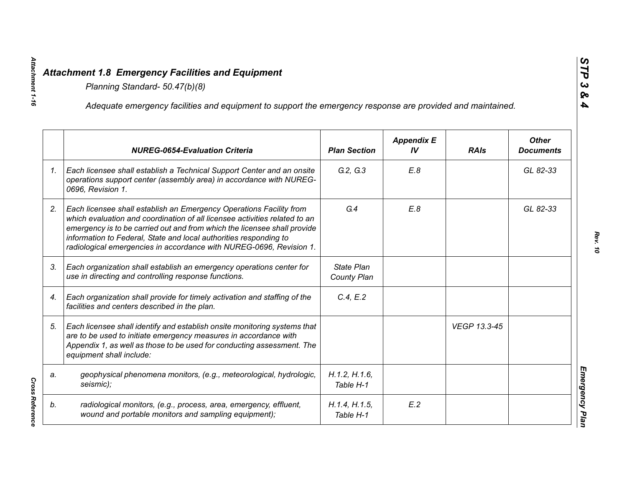|    | Adequate emergency facilities and equipment to support the emergency response are provided and maintained.                                                                                                                                                                                                                                                                |                                  |                         |              |                                  |
|----|---------------------------------------------------------------------------------------------------------------------------------------------------------------------------------------------------------------------------------------------------------------------------------------------------------------------------------------------------------------------------|----------------------------------|-------------------------|--------------|----------------------------------|
|    | <b>NUREG-0654-Evaluation Criteria</b>                                                                                                                                                                                                                                                                                                                                     | <b>Plan Section</b>              | <b>Appendix E</b><br>IV | <b>RAIs</b>  | <b>Other</b><br><b>Documents</b> |
| 1. | Each licensee shall establish a Technical Support Center and an onsite<br>operations support center (assembly area) in accordance with NUREG-<br>0696, Revision 1.                                                                                                                                                                                                        | G.2, G.3                         | E.8                     |              | GL 82-33                         |
| 2. | Each licensee shall establish an Emergency Operations Facility from<br>which evaluation and coordination of all licensee activities related to an<br>emergency is to be carried out and from which the licensee shall provide<br>information to Federal, State and local authorities responding to<br>radiological emergencies in accordance with NUREG-0696, Revision 1. | G.4                              | E.8                     |              | GL 82-33                         |
| 3. | Each organization shall establish an emergency operations center for<br>use in directing and controlling response functions.                                                                                                                                                                                                                                              | <b>State Plan</b><br>County Plan |                         |              |                                  |
| 4. | Each organization shall provide for timely activation and staffing of the<br>facilities and centers described in the plan.                                                                                                                                                                                                                                                | C.4, E.2                         |                         |              |                                  |
| 5. | Each licensee shall identify and establish onsite monitoring systems that<br>are to be used to initiate emergency measures in accordance with<br>Appendix 1, as well as those to be used for conducting assessment. The<br>equipment shall include:                                                                                                                       |                                  |                         | VEGP 13.3-45 |                                  |
| a. | geophysical phenomena monitors, (e.g., meteorological, hydrologic,<br>seismic);                                                                                                                                                                                                                                                                                           | H.1.2, H.1.6,<br>Table H-1       |                         |              |                                  |
| b. | radiological monitors, (e.g., process, area, emergency, effluent,<br>wound and portable monitors and sampling equipment);                                                                                                                                                                                                                                                 | H.1.4, H.1.5,<br>Table H-1       | E.2                     |              |                                  |

*Attachment 1-16*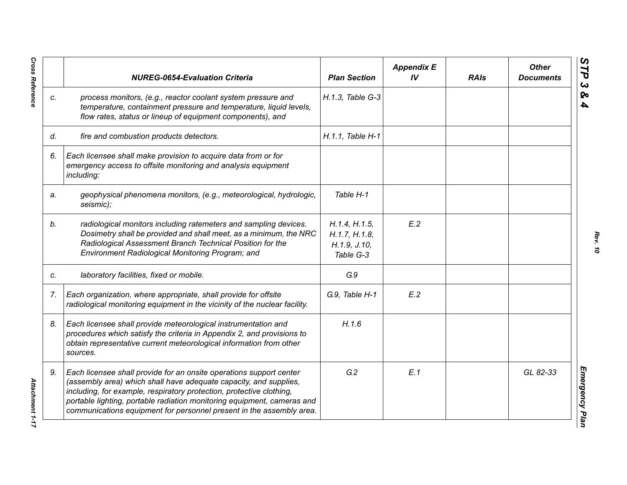|    | <b>NUREG-0654-Evaluation Criteria</b>                                                                                                                                                                                                                                                                                                                               | <b>Plan Section</b>                                           | <b>Appendix E</b><br>IV <sub></sub> | <b>RAIs</b> | <b>Other</b><br><b>Documents</b> |
|----|---------------------------------------------------------------------------------------------------------------------------------------------------------------------------------------------------------------------------------------------------------------------------------------------------------------------------------------------------------------------|---------------------------------------------------------------|-------------------------------------|-------------|----------------------------------|
| C. | process monitors, (e.g., reactor coolant system pressure and<br>temperature, containment pressure and temperature, liquid levels,<br>flow rates, status or lineup of equipment components), and                                                                                                                                                                     | H.1.3, Table G-3                                              |                                     |             |                                  |
| d. | fire and combustion products detectors.                                                                                                                                                                                                                                                                                                                             | H.1.1, Table H-1                                              |                                     |             |                                  |
| 6. | Each licensee shall make provision to acquire data from or for<br>emergency access to offsite monitoring and analysis equipment<br>including:                                                                                                                                                                                                                       |                                                               |                                     |             |                                  |
| a. | geophysical phenomena monitors, (e.g., meteorological, hydrologic,<br>seismic);                                                                                                                                                                                                                                                                                     | Table H-1                                                     |                                     |             |                                  |
| b. | radiological monitors including ratemeters and sampling devices.<br>Dosimetry shall be provided and shall meet, as a minimum, the NRC<br>Radiological Assessment Branch Technical Position for the<br>Environment Radiological Monitoring Program; and                                                                                                              | H.1.4, H.1.5,<br>H.1.7, H.1.8,<br>H. 1.9, J. 10,<br>Table G-3 | E.2                                 |             |                                  |
| C. | laboratory facilities, fixed or mobile.                                                                                                                                                                                                                                                                                                                             | G.9                                                           |                                     |             |                                  |
| 7. | Each organization, where appropriate, shall provide for offsite<br>radiological monitoring equipment in the vicinity of the nuclear facility.                                                                                                                                                                                                                       | G.9, Table H-1                                                | E.2                                 |             |                                  |
| 8. | Each licensee shall provide meteorological instrumentation and<br>procedures which satisfy the criteria in Appendix 2, and provisions to<br>obtain representative current meteorological information from other<br>sources.                                                                                                                                         | H.1.6                                                         |                                     |             |                                  |
| 9. | Each licensee shall provide for an onsite operations support center<br>(assembly area) which shall have adequate capacity, and supplies,<br>including, for example, respiratory protection, protective clothing,<br>portable lighting, portable radiation monitoring equipment, cameras and<br>communications equipment for personnel present in the assembly area. | G.2                                                           | E.1                                 |             | GL 82-33                         |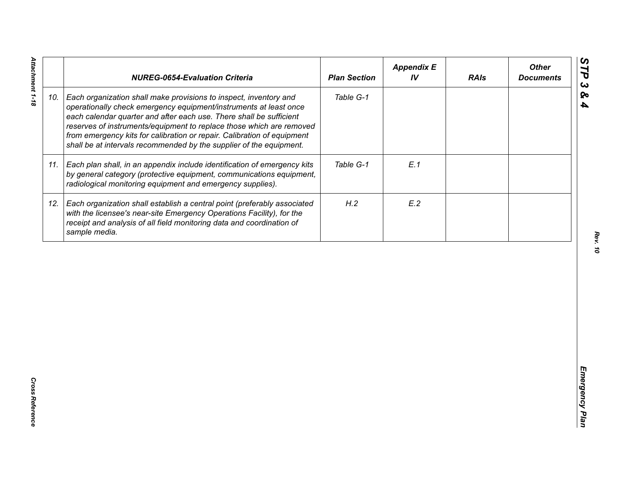|     | <b>NUREG-0654-Evaluation Criteria</b>                                                                                                                                                                                                                                                                                                                                                                                                   | <b>Plan Section</b> | <b>Appendix E</b><br>IV | <b>RAIs</b> | <b>Other</b><br><b>Documents</b> |
|-----|-----------------------------------------------------------------------------------------------------------------------------------------------------------------------------------------------------------------------------------------------------------------------------------------------------------------------------------------------------------------------------------------------------------------------------------------|---------------------|-------------------------|-------------|----------------------------------|
| 10. | Each organization shall make provisions to inspect, inventory and<br>operationally check emergency equipment/instruments at least once<br>each calendar quarter and after each use. There shall be sufficient<br>reserves of instruments/equipment to replace those which are removed<br>from emergency kits for calibration or repair. Calibration of equipment<br>shall be at intervals recommended by the supplier of the equipment. | Table G-1           |                         |             |                                  |
| 11. | Each plan shall, in an appendix include identification of emergency kits<br>by general category (protective equipment, communications equipment,<br>radiological monitoring equipment and emergency supplies).                                                                                                                                                                                                                          | Table G-1           | E.1                     |             |                                  |
| 12. | Each organization shall establish a central point (preferably associated<br>with the licensee's near-site Emergency Operations Facility), for the<br>receipt and analysis of all field monitoring data and coordination of<br>sample media.                                                                                                                                                                                             | H.2                 | E.2                     |             |                                  |
|     |                                                                                                                                                                                                                                                                                                                                                                                                                                         |                     |                         |             |                                  |
|     |                                                                                                                                                                                                                                                                                                                                                                                                                                         |                     |                         |             |                                  |
|     |                                                                                                                                                                                                                                                                                                                                                                                                                                         |                     |                         |             |                                  |
|     |                                                                                                                                                                                                                                                                                                                                                                                                                                         |                     |                         |             |                                  |
|     |                                                                                                                                                                                                                                                                                                                                                                                                                                         |                     |                         |             |                                  |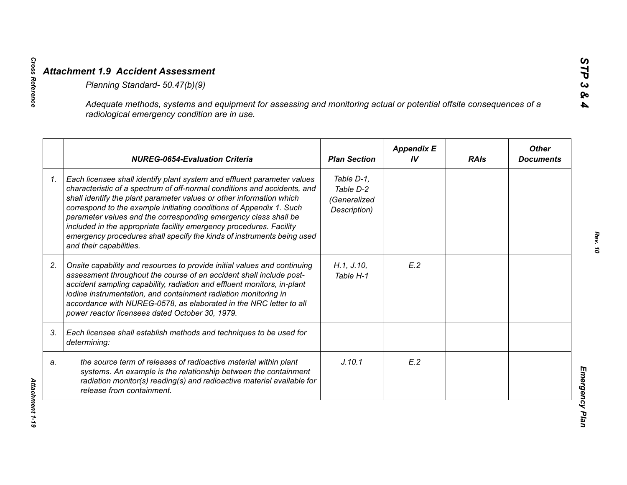|    | Adequate methods, systems and equipment for assessing and monitoring actual or potential offsite consequences of a<br>radiological emergency condition are in use.                                                                                                                                                                                                                                                                                                                                                                                |                                                         |                         |             |                                  |
|----|---------------------------------------------------------------------------------------------------------------------------------------------------------------------------------------------------------------------------------------------------------------------------------------------------------------------------------------------------------------------------------------------------------------------------------------------------------------------------------------------------------------------------------------------------|---------------------------------------------------------|-------------------------|-------------|----------------------------------|
|    | <b>NUREG-0654-Evaluation Criteria</b>                                                                                                                                                                                                                                                                                                                                                                                                                                                                                                             | <b>Plan Section</b>                                     | <b>Appendix E</b><br>IV | <b>RAIs</b> | <b>Other</b><br><b>Documents</b> |
| 1. | Each licensee shall identify plant system and effluent parameter values<br>characteristic of a spectrum of off-normal conditions and accidents, and<br>shall identify the plant parameter values or other information which<br>correspond to the example initiating conditions of Appendix 1. Such<br>parameter values and the corresponding emergency class shall be<br>included in the appropriate facility emergency procedures. Facility<br>emergency procedures shall specify the kinds of instruments being used<br>and their capabilities. | Table D-1,<br>Table D-2<br>(Generalized<br>Description) |                         |             |                                  |
| 2. | Onsite capability and resources to provide initial values and continuing<br>assessment throughout the course of an accident shall include post-<br>accident sampling capability, radiation and effluent monitors, in-plant<br>iodine instrumentation, and containment radiation monitoring in<br>accordance with NUREG-0578, as elaborated in the NRC letter to all<br>power reactor licensees dated October 30, 1979.                                                                                                                            | H.1, J.10,<br>Table H-1                                 | E.2                     |             |                                  |
| 3. | Each licensee shall establish methods and techniques to be used for<br>determining:                                                                                                                                                                                                                                                                                                                                                                                                                                                               |                                                         |                         |             |                                  |
| a. | the source term of releases of radioactive material within plant<br>systems. An example is the relationship between the containment<br>radiation monitor(s) reading(s) and radioactive material available for<br>release from containment.                                                                                                                                                                                                                                                                                                        | J.10.1                                                  | E.2                     |             |                                  |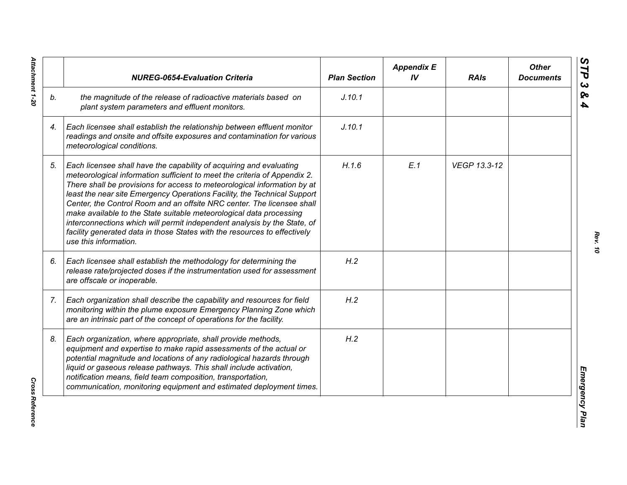|    | <b>NUREG-0654-Evaluation Criteria</b>                                                                                                                                                                                                                                                                                                                                                                                                                                                                                                                                                                                                       | <b>Plan Section</b> | <b>Appendix E</b><br>IV | <b>RAIs</b>  | <b>Other</b><br><b>Documents</b> |
|----|---------------------------------------------------------------------------------------------------------------------------------------------------------------------------------------------------------------------------------------------------------------------------------------------------------------------------------------------------------------------------------------------------------------------------------------------------------------------------------------------------------------------------------------------------------------------------------------------------------------------------------------------|---------------------|-------------------------|--------------|----------------------------------|
| b. | the magnitude of the release of radioactive materials based on<br>plant system parameters and effluent monitors.                                                                                                                                                                                                                                                                                                                                                                                                                                                                                                                            | J.10.1              |                         |              |                                  |
| 4. | Each licensee shall establish the relationship between effluent monitor<br>readings and onsite and offsite exposures and contamination for various<br>meteorological conditions.                                                                                                                                                                                                                                                                                                                                                                                                                                                            | J.10.1              |                         |              |                                  |
| 5. | Each licensee shall have the capability of acquiring and evaluating<br>meteorological information sufficient to meet the criteria of Appendix 2.<br>There shall be provisions for access to meteorological information by at<br>least the near site Emergency Operations Facility, the Technical Support<br>Center, the Control Room and an offsite NRC center. The licensee shall<br>make available to the State suitable meteorological data processing<br>interconnections which will permit independent analysis by the State, of<br>facility generated data in those States with the resources to effectively<br>use this information. | H.1.6               | E.1                     | VEGP 13.3-12 |                                  |
| 6. | Each licensee shall establish the methodology for determining the<br>release rate/projected doses if the instrumentation used for assessment<br>are offscale or inoperable.                                                                                                                                                                                                                                                                                                                                                                                                                                                                 | H.2                 |                         |              |                                  |
| 7. | Each organization shall describe the capability and resources for field<br>monitoring within the plume exposure Emergency Planning Zone which<br>are an intrinsic part of the concept of operations for the facility.                                                                                                                                                                                                                                                                                                                                                                                                                       | H.2                 |                         |              |                                  |
| 8. | Each organization, where appropriate, shall provide methods,<br>equipment and expertise to make rapid assessments of the actual or<br>potential magnitude and locations of any radiological hazards through<br>liquid or gaseous release pathways. This shall include activation,<br>notification means, field team composition, transportation,<br>communication, monitoring equipment and estimated deployment times.                                                                                                                                                                                                                     | H.2                 |                         |              |                                  |

Attachment 1-20 *Attachment 1-20*

**Cross Reference** *Cross Reference*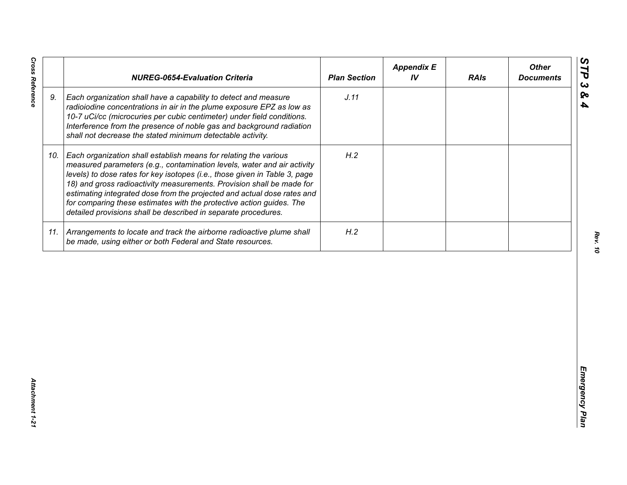| J.11<br>9.<br>Each organization shall have a capability to detect and measure<br>radioiodine concentrations in air in the plume exposure EPZ as low as<br>10-7 uCi/cc (microcuries per cubic centimeter) under field conditions.<br>Interference from the presence of noble gas and background radiation<br>shall not decrease the stated minimum detectable activity.<br>H.2<br>Each organization shall establish means for relating the various<br>10.<br>measured parameters (e.g., contamination levels, water and air activity<br>levels) to dose rates for key isotopes (i.e., those given in Table 3, page<br>18) and gross radioactivity measurements. Provision shall be made for<br>estimating integrated dose from the projected and actual dose rates and<br>for comparing these estimates with the protective action guides. The<br>detailed provisions shall be described in separate procedures. | H.2<br>11. Arrangements to locate and track the airborne radioactive plume shall<br>be made, using either or both Federal and State resources. | <b>NUREG-0654-Evaluation Criteria</b> | <b>Plan Section</b> | <b>Appendix E</b><br>IV | <b>RAIs</b> | <b>Other</b><br><b>Documents</b> |
|-----------------------------------------------------------------------------------------------------------------------------------------------------------------------------------------------------------------------------------------------------------------------------------------------------------------------------------------------------------------------------------------------------------------------------------------------------------------------------------------------------------------------------------------------------------------------------------------------------------------------------------------------------------------------------------------------------------------------------------------------------------------------------------------------------------------------------------------------------------------------------------------------------------------|------------------------------------------------------------------------------------------------------------------------------------------------|---------------------------------------|---------------------|-------------------------|-------------|----------------------------------|
|                                                                                                                                                                                                                                                                                                                                                                                                                                                                                                                                                                                                                                                                                                                                                                                                                                                                                                                 |                                                                                                                                                |                                       |                     |                         |             |                                  |
|                                                                                                                                                                                                                                                                                                                                                                                                                                                                                                                                                                                                                                                                                                                                                                                                                                                                                                                 |                                                                                                                                                |                                       |                     |                         |             |                                  |
|                                                                                                                                                                                                                                                                                                                                                                                                                                                                                                                                                                                                                                                                                                                                                                                                                                                                                                                 |                                                                                                                                                |                                       |                     |                         |             |                                  |
|                                                                                                                                                                                                                                                                                                                                                                                                                                                                                                                                                                                                                                                                                                                                                                                                                                                                                                                 |                                                                                                                                                |                                       |                     |                         |             |                                  |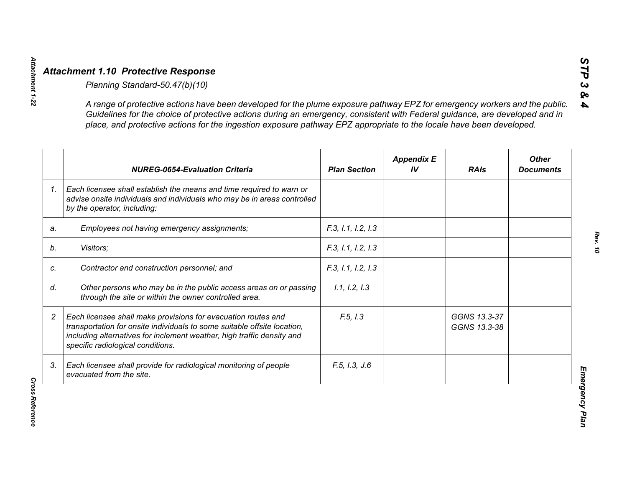|                | A range of protective actions have been developed for the plume exposure pathway EPZ for emergency workers and the public.<br>Guidelines for the choice of protective actions during an emergency, consistent with Federal guidance, are developed and in<br>place, and protective actions for the ingestion exposure pathway EPZ appropriate to the locale have been developed. |                     |                         |                              |                                  |
|----------------|----------------------------------------------------------------------------------------------------------------------------------------------------------------------------------------------------------------------------------------------------------------------------------------------------------------------------------------------------------------------------------|---------------------|-------------------------|------------------------------|----------------------------------|
|                | <b>NUREG-0654-Evaluation Criteria</b>                                                                                                                                                                                                                                                                                                                                            | <b>Plan Section</b> | <b>Appendix E</b><br>IV | <b>RAIs</b>                  | <b>Other</b><br><b>Documents</b> |
| 1 <sub>1</sub> | Each licensee shall establish the means and time required to warn or<br>advise onsite individuals and individuals who may be in areas controlled<br>by the operator, including:                                                                                                                                                                                                  |                     |                         |                              |                                  |
| a.             | Employees not having emergency assignments;                                                                                                                                                                                                                                                                                                                                      | F.3, 1.1, 1.2, 1.3  |                         |                              |                                  |
|                | Visitors;                                                                                                                                                                                                                                                                                                                                                                        | F.3, 1.1, 1.2, 1.3  |                         |                              |                                  |
|                | Contractor and construction personnel; and                                                                                                                                                                                                                                                                                                                                       | F.3, 1.1, 1.2, 1.3  |                         |                              |                                  |
|                | Other persons who may be in the public access areas on or passing<br>through the site or within the owner controlled area.                                                                                                                                                                                                                                                       | 1.1, 1.2, 1.3       |                         |                              |                                  |
|                | Each licensee shall make provisions for evacuation routes and<br>transportation for onsite individuals to some suitable offsite location,<br>including alternatives for inclement weather, high traffic density and<br>specific radiological conditions.                                                                                                                         | F.5, I.3            |                         | GGNS 13.3-37<br>GGNS 13.3-38 |                                  |
| 3.             | Each licensee shall provide for radiological monitoring of people<br>evacuated from the site.                                                                                                                                                                                                                                                                                    | F.5, I.3, J.6       |                         |                              |                                  |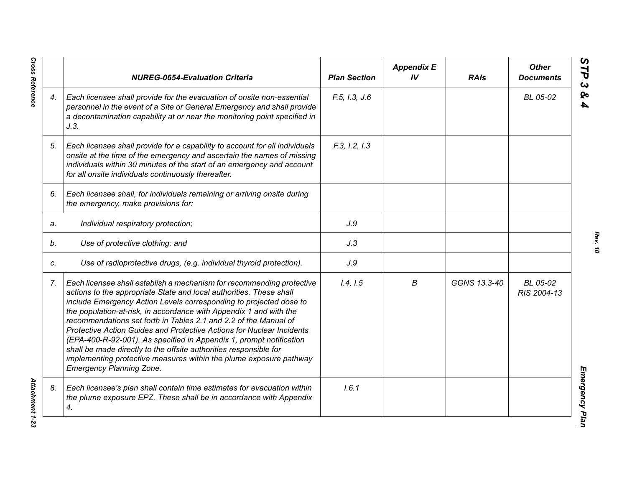|    | <b>NUREG-0654-Evaluation Criteria</b>                                                                                                                                                                                                                                                                                                                                                                                                                                                                                                                                                                                                                                                      | <b>Plan Section</b> | <b>Appendix E</b><br>IV | <b>RAIs</b>  | <b>Other</b><br><b>Documents</b> |
|----|--------------------------------------------------------------------------------------------------------------------------------------------------------------------------------------------------------------------------------------------------------------------------------------------------------------------------------------------------------------------------------------------------------------------------------------------------------------------------------------------------------------------------------------------------------------------------------------------------------------------------------------------------------------------------------------------|---------------------|-------------------------|--------------|----------------------------------|
| 4. | Each licensee shall provide for the evacuation of onsite non-essential<br>personnel in the event of a Site or General Emergency and shall provide<br>a decontamination capability at or near the monitoring point specified in<br>J.3.                                                                                                                                                                                                                                                                                                                                                                                                                                                     | F.5, I.3, J.6       |                         |              | BL 05-02                         |
| 5. | Each licensee shall provide for a capability to account for all individuals<br>onsite at the time of the emergency and ascertain the names of missing<br>individuals within 30 minutes of the start of an emergency and account<br>for all onsite individuals continuously thereafter.                                                                                                                                                                                                                                                                                                                                                                                                     | F.3, I.2, I.3       |                         |              |                                  |
| 6. | Each licensee shall, for individuals remaining or arriving onsite during<br>the emergency, make provisions for:                                                                                                                                                                                                                                                                                                                                                                                                                                                                                                                                                                            |                     |                         |              |                                  |
| a. | Individual respiratory protection;                                                                                                                                                                                                                                                                                                                                                                                                                                                                                                                                                                                                                                                         | J.9                 |                         |              |                                  |
| b. | Use of protective clothing; and                                                                                                                                                                                                                                                                                                                                                                                                                                                                                                                                                                                                                                                            | J.3                 |                         |              |                                  |
| C. | Use of radioprotective drugs, (e.g. individual thyroid protection).                                                                                                                                                                                                                                                                                                                                                                                                                                                                                                                                                                                                                        | J.9                 |                         |              |                                  |
| 7. | Each licensee shall establish a mechanism for recommending protective<br>actions to the appropriate State and local authorities. These shall<br>include Emergency Action Levels corresponding to projected dose to<br>the population-at-risk, in accordance with Appendix 1 and with the<br>recommendations set forth in Tables 2.1 and 2.2 of the Manual of<br>Protective Action Guides and Protective Actions for Nuclear Incidents<br>(EPA-400-R-92-001). As specified in Appendix 1, prompt notification<br>shall be made directly to the offsite authorities responsible for<br>implementing protective measures within the plume exposure pathway<br><b>Emergency Planning Zone.</b> | 1.4, 1.5            | В                       | GGNS 13.3-40 | BL 05-02<br>RIS 2004-13          |
| 8. | Each licensee's plan shall contain time estimates for evacuation within<br>the plume exposure EPZ. These shall be in accordance with Appendix<br>4.                                                                                                                                                                                                                                                                                                                                                                                                                                                                                                                                        | 1.6.1               |                         |              |                                  |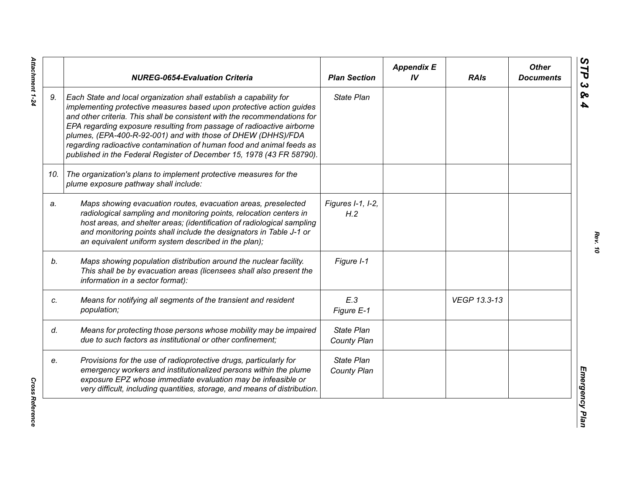|     | <b>NUREG-0654-Evaluation Criteria</b>                                                                                                                                                                                                                                                                                                                                                                                                                                                                              | <b>Plan Section</b>              | <b>Appendix E</b><br>IV | <b>RAIs</b>  | <b>Other</b><br><b>Documents</b> |
|-----|--------------------------------------------------------------------------------------------------------------------------------------------------------------------------------------------------------------------------------------------------------------------------------------------------------------------------------------------------------------------------------------------------------------------------------------------------------------------------------------------------------------------|----------------------------------|-------------------------|--------------|----------------------------------|
| 9.  | Each State and local organization shall establish a capability for<br>implementing protective measures based upon protective action guides<br>and other criteria. This shall be consistent with the recommendations for<br>EPA regarding exposure resulting from passage of radioactive airborne<br>plumes, (EPA-400-R-92-001) and with those of DHEW (DHHS)/FDA<br>regarding radioactive contamination of human food and animal feeds as<br>published in the Federal Register of December 15, 1978 (43 FR 58790). | <b>State Plan</b>                |                         |              |                                  |
| 10. | The organization's plans to implement protective measures for the<br>plume exposure pathway shall include:                                                                                                                                                                                                                                                                                                                                                                                                         |                                  |                         |              |                                  |
| a.  | Maps showing evacuation routes, evacuation areas, preselected<br>radiological sampling and monitoring points, relocation centers in<br>host areas, and shelter areas; (identification of radiological sampling<br>and monitoring points shall include the designators in Table J-1 or<br>an equivalent uniform system described in the plan);                                                                                                                                                                      | Figures I-1, I-2,<br>H.2         |                         |              |                                  |
| b.  | Maps showing population distribution around the nuclear facility.<br>This shall be by evacuation areas (licensees shall also present the<br>information in a sector format):                                                                                                                                                                                                                                                                                                                                       | Figure I-1                       |                         |              |                                  |
| c.  | Means for notifying all segments of the transient and resident<br>population;                                                                                                                                                                                                                                                                                                                                                                                                                                      | E.3<br>Figure E-1                |                         | VEGP 13.3-13 |                                  |
| d.  | Means for protecting those persons whose mobility may be impaired<br>due to such factors as institutional or other confinement;                                                                                                                                                                                                                                                                                                                                                                                    | <b>State Plan</b><br>County Plan |                         |              |                                  |
| e.  | Provisions for the use of radioprotective drugs, particularly for<br>emergency workers and institutionalized persons within the plume<br>exposure EPZ whose immediate evaluation may be infeasible or<br>very difficult, including quantities, storage, and means of distribution.                                                                                                                                                                                                                                 | <b>State Plan</b><br>County Plan |                         |              |                                  |

Attachment 1-24 *Attachment 1-24*

**Cross Reference** *Cross Reference*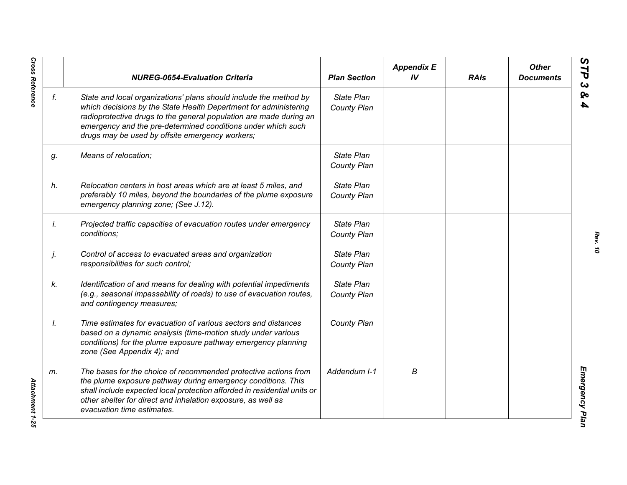|    | <b>NUREG-0654-Evaluation Criteria</b>                                                                                                                                                                                                                                                                                          | <b>Plan Section</b>              | <b>Appendix E</b><br>IV | <b>RAIs</b> | <b>Other</b><br><b>Documents</b> |
|----|--------------------------------------------------------------------------------------------------------------------------------------------------------------------------------------------------------------------------------------------------------------------------------------------------------------------------------|----------------------------------|-------------------------|-------------|----------------------------------|
| f. | State and local organizations' plans should include the method by<br>which decisions by the State Health Department for administering<br>radioprotective drugs to the general population are made during an<br>emergency and the pre-determined conditions under which such<br>drugs may be used by offsite emergency workers; | <b>State Plan</b><br>County Plan |                         |             |                                  |
| g. | Means of relocation;                                                                                                                                                                                                                                                                                                           | State Plan<br>County Plan        |                         |             |                                  |
| h. | Relocation centers in host areas which are at least 5 miles, and<br>preferably 10 miles, beyond the boundaries of the plume exposure<br>emergency planning zone; (See J.12).                                                                                                                                                   | State Plan<br>County Plan        |                         |             |                                  |
| İ. | Projected traffic capacities of evacuation routes under emergency<br>conditions;                                                                                                                                                                                                                                               | State Plan<br>County Plan        |                         |             |                                  |
| j. | Control of access to evacuated areas and organization<br>responsibilities for such control;                                                                                                                                                                                                                                    | State Plan<br>County Plan        |                         |             |                                  |
| k. | Identification of and means for dealing with potential impediments<br>(e.g., seasonal impassability of roads) to use of evacuation routes,<br>and contingency measures;                                                                                                                                                        | State Plan<br>County Plan        |                         |             |                                  |
| Ι. | Time estimates for evacuation of various sectors and distances<br>based on a dynamic analysis (time-motion study under various<br>conditions) for the plume exposure pathway emergency planning<br>zone (See Appendix 4); and                                                                                                  | County Plan                      |                         |             |                                  |
| m. | The bases for the choice of recommended protective actions from<br>the plume exposure pathway during emergency conditions. This<br>shall include expected local protection afforded in residential units or<br>other shelter for direct and inhalation exposure, as well as<br>evacuation time estimates.                      | Addendum I-1                     | В                       |             |                                  |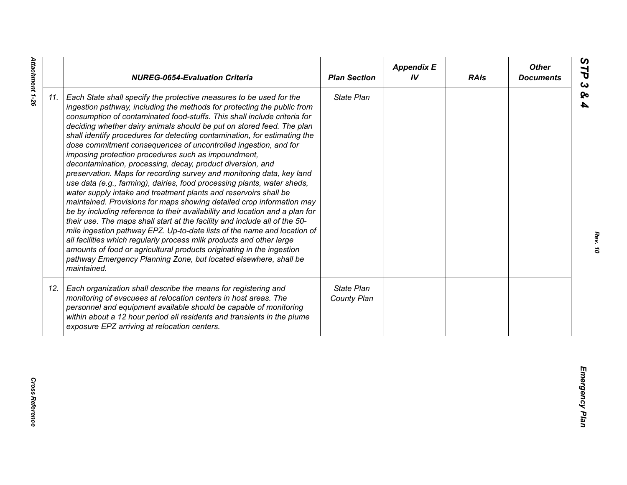| State Plan<br>Each State shall specify the protective measures to be used for the<br>ingestion pathway, including the methods for protecting the public from<br>consumption of contaminated food-stuffs. This shall include criteria for<br>deciding whether dairy animals should be put on stored feed. The plan<br>shall identify procedures for detecting contamination, for estimating the<br>dose commitment consequences of uncontrolled ingestion, and for<br>imposing protection procedures such as impoundment,<br>decontamination, processing, decay, product diversion, and<br>preservation. Maps for recording survey and monitoring data, key land<br>use data (e.g., farming), dairies, food processing plants, water sheds,<br>water supply intake and treatment plants and reservoirs shall be<br>maintained. Provisions for maps showing detailed crop information may<br>be by including reference to their availability and location and a plan for<br>their use. The maps shall start at the facility and include all of the 50-<br>mile ingestion pathway EPZ. Up-to-date lists of the name and location of<br>all facilities which regularly process milk products and other large<br>amounts of food or agricultural products originating in the ingestion<br>pathway Emergency Planning Zone, but located elsewhere, shall be<br>maintained.<br>State Plan<br>Each organization shall describe the means for registering and<br>monitoring of evacuees at relocation centers in host areas. The<br>County Plan<br>personnel and equipment available should be capable of monitoring<br>within about a 12 hour period all residents and transients in the plume<br>exposure EPZ arriving at relocation centers. |     | <b>NUREG-0654-Evaluation Criteria</b> | <b>Plan Section</b> | <b>Appendix E</b><br>IV | <b>RAIs</b> | <b>Other</b><br><b>Documents</b> |
|----------------------------------------------------------------------------------------------------------------------------------------------------------------------------------------------------------------------------------------------------------------------------------------------------------------------------------------------------------------------------------------------------------------------------------------------------------------------------------------------------------------------------------------------------------------------------------------------------------------------------------------------------------------------------------------------------------------------------------------------------------------------------------------------------------------------------------------------------------------------------------------------------------------------------------------------------------------------------------------------------------------------------------------------------------------------------------------------------------------------------------------------------------------------------------------------------------------------------------------------------------------------------------------------------------------------------------------------------------------------------------------------------------------------------------------------------------------------------------------------------------------------------------------------------------------------------------------------------------------------------------------------------------------------------------------------------------------------------------------|-----|---------------------------------------|---------------------|-------------------------|-------------|----------------------------------|
|                                                                                                                                                                                                                                                                                                                                                                                                                                                                                                                                                                                                                                                                                                                                                                                                                                                                                                                                                                                                                                                                                                                                                                                                                                                                                                                                                                                                                                                                                                                                                                                                                                                                                                                                        | 11. |                                       |                     |                         |             |                                  |
|                                                                                                                                                                                                                                                                                                                                                                                                                                                                                                                                                                                                                                                                                                                                                                                                                                                                                                                                                                                                                                                                                                                                                                                                                                                                                                                                                                                                                                                                                                                                                                                                                                                                                                                                        | 12. |                                       |                     |                         |             |                                  |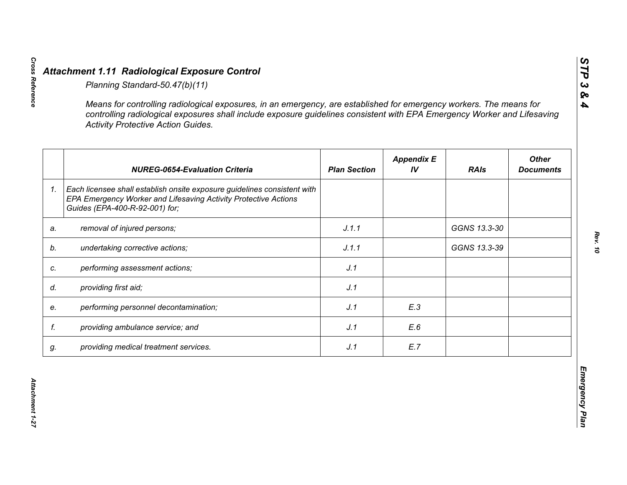|    | <b>Activity Protective Action Guides.</b>                                                                                                                                     |                     |                         |              |                                  |
|----|-------------------------------------------------------------------------------------------------------------------------------------------------------------------------------|---------------------|-------------------------|--------------|----------------------------------|
|    | <b>NUREG-0654-Evaluation Criteria</b>                                                                                                                                         | <b>Plan Section</b> | <b>Appendix E</b><br>IV | <b>RAIs</b>  | <b>Other</b><br><b>Documents</b> |
| 1. | Each licensee shall establish onsite exposure guidelines consistent with<br>EPA Emergency Worker and Lifesaving Activity Protective Actions<br>Guides (EPA-400-R-92-001) for; |                     |                         |              |                                  |
| a. | removal of injured persons;                                                                                                                                                   | J.1.1               |                         | GGNS 13.3-30 |                                  |
|    | undertaking corrective actions;                                                                                                                                               | J.1.1               |                         | GGNS 13.3-39 |                                  |
| C. | performing assessment actions;                                                                                                                                                | J.1                 |                         |              |                                  |
| d. | providing first aid;                                                                                                                                                          | J.1                 |                         |              |                                  |
| e. | performing personnel decontamination;                                                                                                                                         | J.1                 | E.3                     |              |                                  |
| f. | providing ambulance service; and                                                                                                                                              | J.1                 | E.6                     |              |                                  |
| g. | providing medical treatment services.                                                                                                                                         | J.1                 | E.7                     |              |                                  |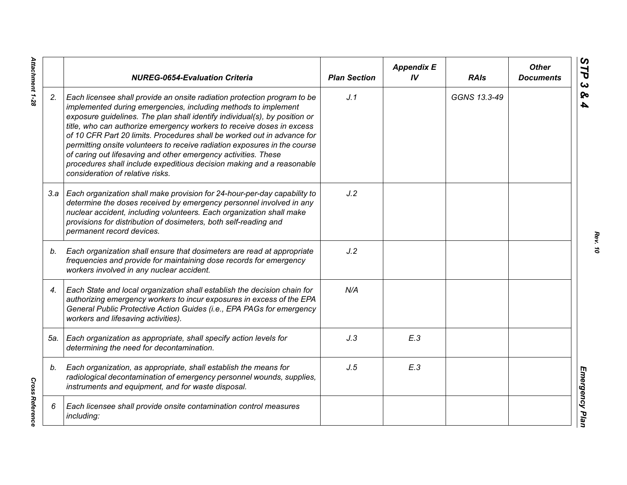|     | <b>NUREG-0654-Evaluation Criteria</b>                                                                                                                                                                                                                                                                                                                                                                                                                                                                                                                                                                                                    | <b>Plan Section</b> | <b>Appendix E</b><br>IV | <b>RAIs</b>  | <b>Other</b><br><b>Documents</b> |
|-----|------------------------------------------------------------------------------------------------------------------------------------------------------------------------------------------------------------------------------------------------------------------------------------------------------------------------------------------------------------------------------------------------------------------------------------------------------------------------------------------------------------------------------------------------------------------------------------------------------------------------------------------|---------------------|-------------------------|--------------|----------------------------------|
| 2.  | Each licensee shall provide an onsite radiation protection program to be<br>implemented during emergencies, including methods to implement<br>exposure guidelines. The plan shall identify individual(s), by position or<br>title, who can authorize emergency workers to receive doses in excess<br>of 10 CFR Part 20 limits. Procedures shall be worked out in advance for<br>permitting onsite volunteers to receive radiation exposures in the course<br>of caring out lifesaving and other emergency activities. These<br>procedures shall include expeditious decision making and a reasonable<br>consideration of relative risks. | J.1                 |                         | GGNS 13.3-49 |                                  |
|     | 3.a   Each organization shall make provision for 24-hour-per-day capability to<br>determine the doses received by emergency personnel involved in any<br>nuclear accident, including volunteers. Each organization shall make<br>provisions for distribution of dosimeters, both self-reading and<br>permanent record devices.                                                                                                                                                                                                                                                                                                           | J.2                 |                         |              |                                  |
| b.  | Each organization shall ensure that dosimeters are read at appropriate<br>frequencies and provide for maintaining dose records for emergency<br>workers involved in any nuclear accident.                                                                                                                                                                                                                                                                                                                                                                                                                                                | J.2                 |                         |              |                                  |
| 4.  | Each State and local organization shall establish the decision chain for<br>authorizing emergency workers to incur exposures in excess of the EPA<br>General Public Protective Action Guides (i.e., EPA PAGs for emergency<br>workers and lifesaving activities).                                                                                                                                                                                                                                                                                                                                                                        | N/A                 |                         |              |                                  |
| 5а. | Each organization as appropriate, shall specify action levels for<br>determining the need for decontamination.                                                                                                                                                                                                                                                                                                                                                                                                                                                                                                                           | J.3                 | E.3                     |              |                                  |
| b.  | Each organization, as appropriate, shall establish the means for<br>radiological decontamination of emergency personnel wounds, supplies,<br>instruments and equipment, and for waste disposal.                                                                                                                                                                                                                                                                                                                                                                                                                                          | J.5                 | E.3                     |              |                                  |
| 6   | Each licensee shall provide onsite contamination control measures<br>including:                                                                                                                                                                                                                                                                                                                                                                                                                                                                                                                                                          |                     |                         |              |                                  |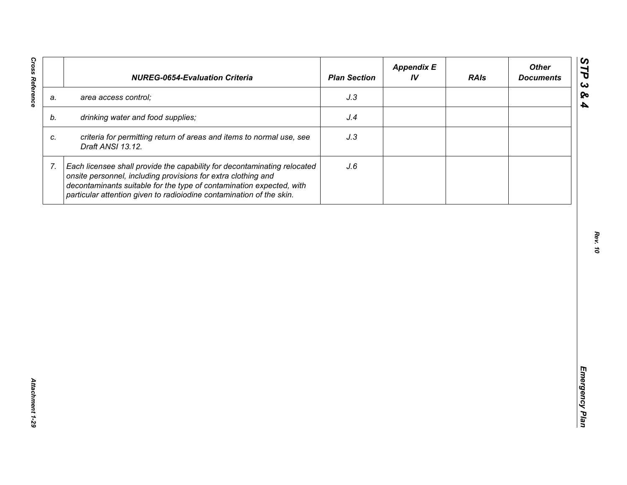| J.3<br>area access control;<br>a.<br>drinking water and food supplies;<br>J.4<br>b.<br>criteria for permitting return of areas and items to normal use, see<br>J.3<br>C.<br>Draft ANSI 13.12.<br>7.<br>Each licensee shall provide the capability for decontaminating relocated<br>J.6<br>onsite personnel, including provisions for extra clothing and |  | decontaminants suitable for the type of contamination expected, with |  |  |
|---------------------------------------------------------------------------------------------------------------------------------------------------------------------------------------------------------------------------------------------------------------------------------------------------------------------------------------------------------|--|----------------------------------------------------------------------|--|--|
|                                                                                                                                                                                                                                                                                                                                                         |  |                                                                      |  |  |
|                                                                                                                                                                                                                                                                                                                                                         |  |                                                                      |  |  |
|                                                                                                                                                                                                                                                                                                                                                         |  |                                                                      |  |  |
| particular attention given to radioiodine contamination of the skin.                                                                                                                                                                                                                                                                                    |  |                                                                      |  |  |
|                                                                                                                                                                                                                                                                                                                                                         |  |                                                                      |  |  |
|                                                                                                                                                                                                                                                                                                                                                         |  |                                                                      |  |  |
|                                                                                                                                                                                                                                                                                                                                                         |  |                                                                      |  |  |
|                                                                                                                                                                                                                                                                                                                                                         |  |                                                                      |  |  |
|                                                                                                                                                                                                                                                                                                                                                         |  |                                                                      |  |  |
|                                                                                                                                                                                                                                                                                                                                                         |  |                                                                      |  |  |
|                                                                                                                                                                                                                                                                                                                                                         |  |                                                                      |  |  |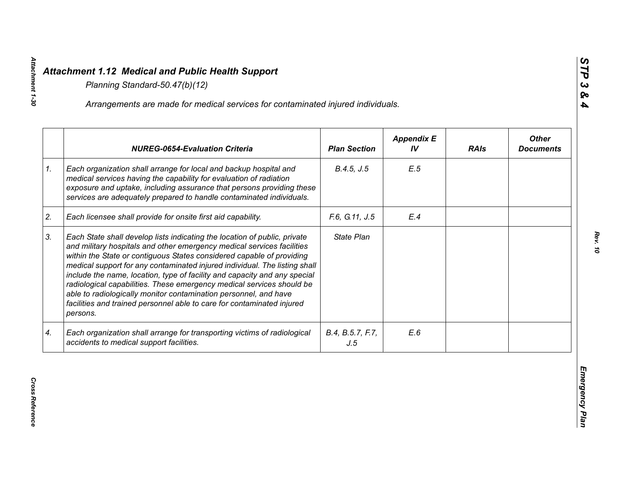|    | Arrangements are made for medical services for contaminated injured individuals.                                                                                                                                                                                                                                                                                                                                                                                                                                                                                                                                           |                         |                         |             |                                  |
|----|----------------------------------------------------------------------------------------------------------------------------------------------------------------------------------------------------------------------------------------------------------------------------------------------------------------------------------------------------------------------------------------------------------------------------------------------------------------------------------------------------------------------------------------------------------------------------------------------------------------------------|-------------------------|-------------------------|-------------|----------------------------------|
|    | <b>NUREG-0654-Evaluation Criteria</b>                                                                                                                                                                                                                                                                                                                                                                                                                                                                                                                                                                                      | <b>Plan Section</b>     | <b>Appendix E</b><br>IV | <b>RAIs</b> | <b>Other</b><br><b>Documents</b> |
| 1. | Each organization shall arrange for local and backup hospital and<br>medical services having the capability for evaluation of radiation<br>exposure and uptake, including assurance that persons providing these<br>services are adequately prepared to handle contaminated individuals.                                                                                                                                                                                                                                                                                                                                   | B.4.5, J.5              | E.5                     |             |                                  |
| 2. | Each licensee shall provide for onsite first aid capability.                                                                                                                                                                                                                                                                                                                                                                                                                                                                                                                                                               | F.6, G.11, J.5          | E.4                     |             |                                  |
| 3. | Each State shall develop lists indicating the location of public, private<br>and military hospitals and other emergency medical services facilities<br>within the State or contiguous States considered capable of providing<br>medical support for any contaminated injured individual. The listing shall<br>include the name, location, type of facility and capacity and any special<br>radiological capabilities. These emergency medical services should be<br>able to radiologically monitor contamination personnel, and have<br>facilities and trained personnel able to care for contaminated injured<br>persons. | State Plan              |                         |             |                                  |
| 4. | Each organization shall arrange for transporting victims of radiological<br>accidents to medical support facilities.                                                                                                                                                                                                                                                                                                                                                                                                                                                                                                       | B.4, B.5.7, F.7,<br>J.5 | E.6                     |             |                                  |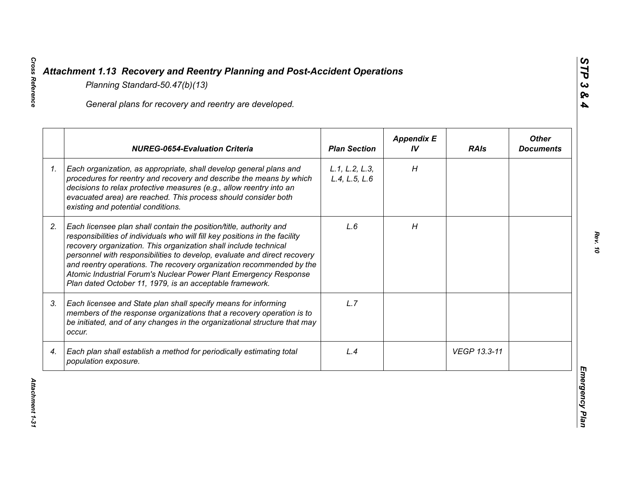|    | General plans for recovery and reentry are developed.                                                                                                                                                                                                                                                                                                                                                                                                                                                     |                                 |                         |              |                                  |
|----|-----------------------------------------------------------------------------------------------------------------------------------------------------------------------------------------------------------------------------------------------------------------------------------------------------------------------------------------------------------------------------------------------------------------------------------------------------------------------------------------------------------|---------------------------------|-------------------------|--------------|----------------------------------|
|    | <b>NUREG-0654-Evaluation Criteria</b>                                                                                                                                                                                                                                                                                                                                                                                                                                                                     | <b>Plan Section</b>             | <b>Appendix E</b><br>IV | <b>RAIs</b>  | <b>Other</b><br><b>Documents</b> |
| 1. | Each organization, as appropriate, shall develop general plans and<br>procedures for reentry and recovery and describe the means by which<br>decisions to relax protective measures (e.g., allow reentry into an<br>evacuated area) are reached. This process should consider both<br>existing and potential conditions.                                                                                                                                                                                  | L.1, L.2, L.3,<br>L.4, L.5, L.6 | H                       |              |                                  |
| 2. | Each licensee plan shall contain the position/title, authority and<br>responsibilities of individuals who will fill key positions in the facility<br>recovery organization. This organization shall include technical<br>personnel with responsibilities to develop, evaluate and direct recovery<br>and reentry operations. The recovery organization recommended by the<br>Atomic Industrial Forum's Nuclear Power Plant Emergency Response<br>Plan dated October 11, 1979, is an acceptable framework. | L.6                             | H                       |              |                                  |
| 3. | Each licensee and State plan shall specify means for informing<br>members of the response organizations that a recovery operation is to<br>be initiated, and of any changes in the organizational structure that may<br>occur.                                                                                                                                                                                                                                                                            | L.7                             |                         |              |                                  |
| 4. | Each plan shall establish a method for periodically estimating total<br>population exposure.                                                                                                                                                                                                                                                                                                                                                                                                              | L.4                             |                         | VEGP 13.3-11 |                                  |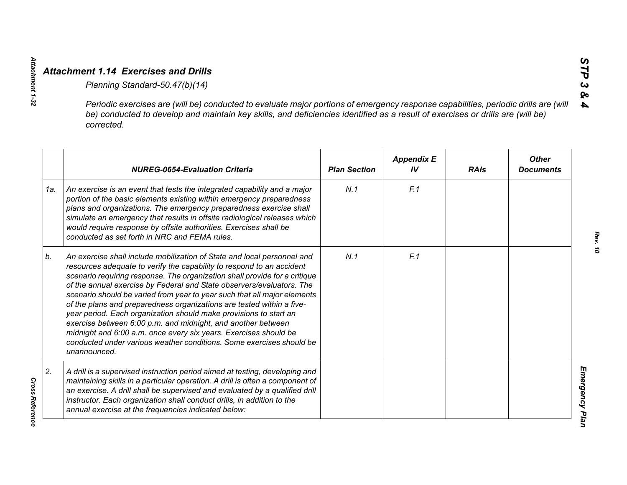|     | Periodic exercises are (will be) conducted to evaluate major portions of emergency response capabilities, periodic drills are (will<br>be) conducted to develop and maintain key skills, and deficiencies identified as a result of exercises or drills are (will be)<br>corrected.                                                                                                                                                                                                                                                                                                                                                                                                                                                                           |                     |                         |             |                                  |
|-----|---------------------------------------------------------------------------------------------------------------------------------------------------------------------------------------------------------------------------------------------------------------------------------------------------------------------------------------------------------------------------------------------------------------------------------------------------------------------------------------------------------------------------------------------------------------------------------------------------------------------------------------------------------------------------------------------------------------------------------------------------------------|---------------------|-------------------------|-------------|----------------------------------|
|     | <b>NUREG-0654-Evaluation Criteria</b>                                                                                                                                                                                                                                                                                                                                                                                                                                                                                                                                                                                                                                                                                                                         | <b>Plan Section</b> | <b>Appendix E</b><br>IV | <b>RAIs</b> | <b>Other</b><br><b>Documents</b> |
| 1a. | An exercise is an event that tests the integrated capability and a major<br>portion of the basic elements existing within emergency preparedness<br>plans and organizations. The emergency preparedness exercise shall<br>simulate an emergency that results in offsite radiological releases which<br>would require response by offsite authorities. Exercises shall be<br>conducted as set forth in NRC and FEMA rules.                                                                                                                                                                                                                                                                                                                                     | N.1                 | F.1                     |             |                                  |
| b.  | An exercise shall include mobilization of State and local personnel and<br>resources adequate to verify the capability to respond to an accident<br>scenario requiring response. The organization shall provide for a critique<br>of the annual exercise by Federal and State observers/evaluators. The<br>scenario should be varied from year to year such that all major elements<br>of the plans and preparedness organizations are tested within a five-<br>year period. Each organization should make provisions to start an<br>exercise between 6:00 p.m. and midnight, and another between<br>midnight and 6:00 a.m. once every six years. Exercises should be<br>conducted under various weather conditions. Some exercises should be<br>unannounced. | N.1                 | F.1                     |             |                                  |
| 2.  | A drill is a supervised instruction period aimed at testing, developing and<br>maintaining skills in a particular operation. A drill is often a component of<br>an exercise. A drill shall be supervised and evaluated by a qualified drill<br>instructor. Each organization shall conduct drills, in addition to the<br>annual exercise at the frequencies indicated below:                                                                                                                                                                                                                                                                                                                                                                                  |                     |                         |             |                                  |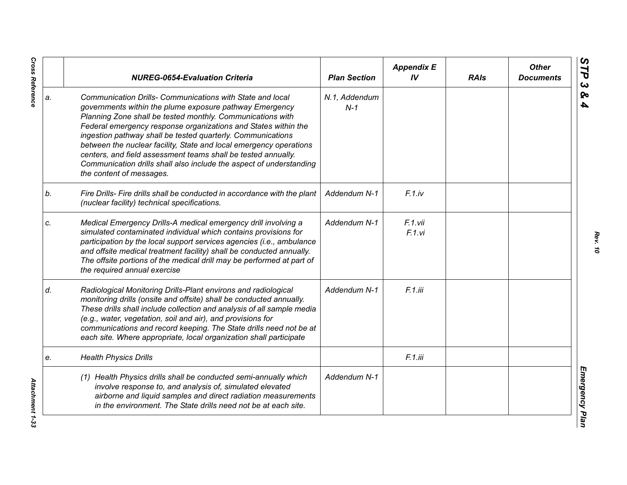|    | <b>NUREG-0654-Evaluation Criteria</b>                                                                                                                                                                                                                                                                                                                                                                                                                                                                                                                         | <b>Plan Section</b>    | <b>Appendix E</b><br>IV | <b>RAIs</b> | <b>Other</b><br><b>Documents</b> |
|----|---------------------------------------------------------------------------------------------------------------------------------------------------------------------------------------------------------------------------------------------------------------------------------------------------------------------------------------------------------------------------------------------------------------------------------------------------------------------------------------------------------------------------------------------------------------|------------------------|-------------------------|-------------|----------------------------------|
| a. | Communication Drills- Communications with State and local<br>governments within the plume exposure pathway Emergency<br>Planning Zone shall be tested monthly. Communications with<br>Federal emergency response organizations and States within the<br>ingestion pathway shall be tested quarterly. Communications<br>between the nuclear facility, State and local emergency operations<br>centers, and field assessment teams shall be tested annually.<br>Communication drills shall also include the aspect of understanding<br>the content of messages. | N.1, Addendum<br>$N-1$ |                         |             |                                  |
| b. | Fire Drills- Fire drills shall be conducted in accordance with the plant<br>(nuclear facility) technical specifications.                                                                                                                                                                                                                                                                                                                                                                                                                                      | Addendum N-1           | F.1iv                   |             |                                  |
| C. | Medical Emergency Drills-A medical emergency drill involving a<br>simulated contaminated individual which contains provisions for<br>participation by the local support services agencies (i.e., ambulance<br>and offsite medical treatment facility) shall be conducted annually.<br>The offsite portions of the medical drill may be performed at part of<br>the required annual exercise                                                                                                                                                                   | Addendum N-1           | F.1.vii<br>F.1.vi       |             |                                  |
| d. | Radiological Monitoring Drills-Plant environs and radiological<br>monitoring drills (onsite and offsite) shall be conducted annually.<br>These drills shall include collection and analysis of all sample media<br>(e.g., water, vegetation, soil and air), and provisions for<br>communications and record keeping. The State drills need not be at<br>each site. Where appropriate, local organization shall participate                                                                                                                                    | Addendum N-1           | F.1.iii                 |             |                                  |
| е. | <b>Health Physics Drills</b>                                                                                                                                                                                                                                                                                                                                                                                                                                                                                                                                  |                        | F.1.iii                 |             |                                  |
|    | (1) Health Physics drills shall be conducted semi-annually which<br>involve response to, and analysis of, simulated elevated<br>airborne and liquid samples and direct radiation measurements<br>in the environment. The State drills need not be at each site.                                                                                                                                                                                                                                                                                               | Addendum N-1           |                         |             |                                  |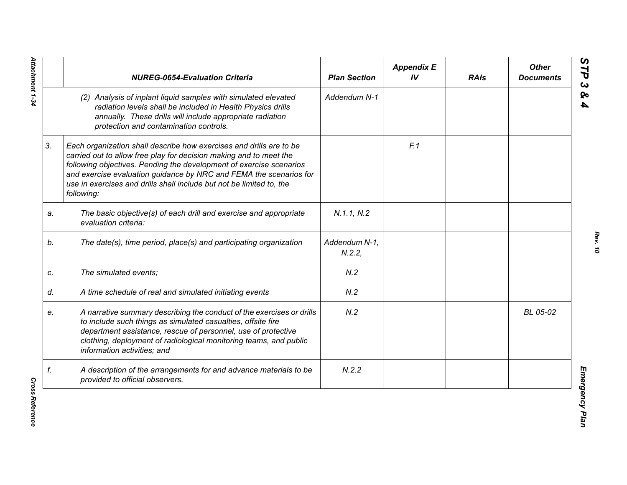|    | <b>NUREG-0654-Evaluation Criteria</b>                                                                                                                                                                                                                                                                                                                                        | <b>Plan Section</b>    | <b>Appendix E</b><br>IV | <b>RAIs</b> | <b>Other</b><br><b>Documents</b> |
|----|------------------------------------------------------------------------------------------------------------------------------------------------------------------------------------------------------------------------------------------------------------------------------------------------------------------------------------------------------------------------------|------------------------|-------------------------|-------------|----------------------------------|
|    | (2) Analysis of inplant liquid samples with simulated elevated<br>radiation levels shall be included in Health Physics drills<br>annually. These drills will include appropriate radiation<br>protection and contamination controls.                                                                                                                                         | Addendum N-1           |                         |             |                                  |
| 3. | Each organization shall describe how exercises and drills are to be<br>carried out to allow free play for decision making and to meet the<br>following objectives. Pending the development of exercise scenarios<br>and exercise evaluation guidance by NRC and FEMA the scenarios for<br>use in exercises and drills shall include but not be limited to, the<br>following: |                        | F.1                     |             |                                  |
| a. | The basic objective(s) of each drill and exercise and appropriate<br>evaluation criteria:                                                                                                                                                                                                                                                                                    | N.1.1, N.2             |                         |             |                                  |
| b. | The date(s), time period, place(s) and participating organization                                                                                                                                                                                                                                                                                                            | Addendum N-1,<br>N.2.2 |                         |             |                                  |
| c. | The simulated events;                                                                                                                                                                                                                                                                                                                                                        | N.2                    |                         |             |                                  |
| d. | A time schedule of real and simulated initiating events                                                                                                                                                                                                                                                                                                                      | N.2                    |                         |             |                                  |
| е. | A narrative summary describing the conduct of the exercises or drills<br>to include such things as simulated casualties, offsite fire<br>department assistance, rescue of personnel, use of protective<br>clothing, deployment of radiological monitoring teams, and public<br>information activities; and                                                                   | N.2                    |                         |             | BL 05-02                         |
| f. | A description of the arrangements for and advance materials to be<br>provided to official observers.                                                                                                                                                                                                                                                                         | N.2.2                  |                         |             |                                  |

**Cross Reference** *Cross Reference*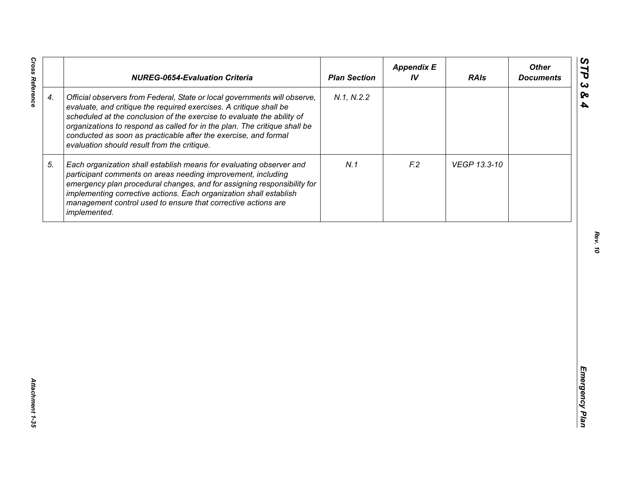|                    | <b>NUREG-0654-Evaluation Criteria</b>                                                                                                                                                                                                                                                                                                                                                                                    | <b>Plan Section</b> | <b>Appendix E</b><br>IV | <b>RAIs</b>  | <b>Other</b><br><b>Documents</b> |
|--------------------|--------------------------------------------------------------------------------------------------------------------------------------------------------------------------------------------------------------------------------------------------------------------------------------------------------------------------------------------------------------------------------------------------------------------------|---------------------|-------------------------|--------------|----------------------------------|
| $\boldsymbol{4}$ . | Official observers from Federal, State or local governments will observe,<br>evaluate, and critique the required exercises. A critique shall be<br>scheduled at the conclusion of the exercise to evaluate the ability of<br>organizations to respond as called for in the plan. The critique shall be<br>conducted as soon as practicable after the exercise, and formal<br>evaluation should result from the critique. | N.1, N.2.2          |                         |              |                                  |
| 5.                 | Each organization shall establish means for evaluating observer and<br>participant comments on areas needing improvement, including<br>emergency plan procedural changes, and for assigning responsibility for<br>implementing corrective actions. Each organization shall establish<br>management control used to ensure that corrective actions are<br>implemented.                                                    | N.1                 | F <sub>12</sub>         | VEGP 13.3-10 |                                  |
|                    |                                                                                                                                                                                                                                                                                                                                                                                                                          |                     |                         |              |                                  |
|                    |                                                                                                                                                                                                                                                                                                                                                                                                                          |                     |                         |              |                                  |
|                    |                                                                                                                                                                                                                                                                                                                                                                                                                          |                     |                         |              |                                  |
|                    |                                                                                                                                                                                                                                                                                                                                                                                                                          |                     |                         |              |                                  |
|                    |                                                                                                                                                                                                                                                                                                                                                                                                                          |                     |                         |              |                                  |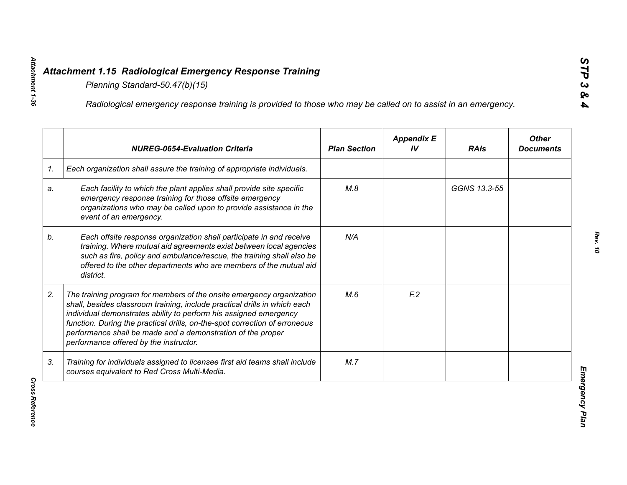|    | Radiological emergency response training is provided to those who may be called on to assist in an emergency.                                                                                                                                                                                                                                                                                                  |                     |                         |              |                                  |
|----|----------------------------------------------------------------------------------------------------------------------------------------------------------------------------------------------------------------------------------------------------------------------------------------------------------------------------------------------------------------------------------------------------------------|---------------------|-------------------------|--------------|----------------------------------|
|    | <b>NUREG-0654-Evaluation Criteria</b>                                                                                                                                                                                                                                                                                                                                                                          | <b>Plan Section</b> | <b>Appendix E</b><br>IV | <b>RAIs</b>  | <b>Other</b><br><b>Documents</b> |
| 1. | Each organization shall assure the training of appropriate individuals.                                                                                                                                                                                                                                                                                                                                        |                     |                         |              |                                  |
| a. | Each facility to which the plant applies shall provide site specific<br>emergency response training for those offsite emergency<br>organizations who may be called upon to provide assistance in the<br>event of an emergency.                                                                                                                                                                                 | M.8                 |                         | GGNS 13.3-55 |                                  |
| b. | Each offsite response organization shall participate in and receive<br>training. Where mutual aid agreements exist between local agencies<br>such as fire, policy and ambulance/rescue, the training shall also be<br>offered to the other departments who are members of the mutual aid<br>district.                                                                                                          | N/A                 |                         |              |                                  |
| 2. | The training program for members of the onsite emergency organization<br>shall, besides classroom training, include practical drills in which each<br>individual demonstrates ability to perform his assigned emergency<br>function. During the practical drills, on-the-spot correction of erroneous<br>performance shall be made and a demonstration of the proper<br>performance offered by the instructor. | M.6                 | F <sub>12</sub>         |              |                                  |
| 3. | Training for individuals assigned to licensee first aid teams shall include<br>courses equivalent to Red Cross Multi-Media.                                                                                                                                                                                                                                                                                    | M.7                 |                         |              |                                  |

**Cross Reference**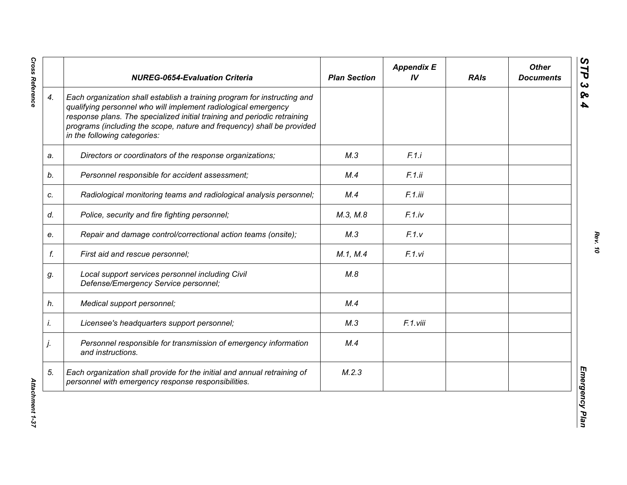|    | <b>NUREG-0654-Evaluation Criteria</b>                                                                                                                                                                                                                                                                                            | <b>Plan Section</b> | <b>Appendix E</b><br>IV | <b>RAIs</b> | <b>Other</b><br><b>Documents</b> |
|----|----------------------------------------------------------------------------------------------------------------------------------------------------------------------------------------------------------------------------------------------------------------------------------------------------------------------------------|---------------------|-------------------------|-------------|----------------------------------|
| 4. | Each organization shall establish a training program for instructing and<br>qualifying personnel who will implement radiological emergency<br>response plans. The specialized initial training and periodic retraining<br>programs (including the scope, nature and frequency) shall be provided<br>in the following categories: |                     |                         |             |                                  |
| a. | Directors or coordinators of the response organizations;                                                                                                                                                                                                                                                                         | M.3                 | F.1.i                   |             |                                  |
| b. | Personnel responsible for accident assessment;                                                                                                                                                                                                                                                                                   | M.4                 | F.1.ii                  |             |                                  |
| c. | Radiological monitoring teams and radiological analysis personnel;                                                                                                                                                                                                                                                               | M.4                 | F.1.iii                 |             |                                  |
| d. | Police, security and fire fighting personnel;                                                                                                                                                                                                                                                                                    | M.3, M.8            | F.1(iv                  |             |                                  |
| е. | Repair and damage control/correctional action teams (onsite);                                                                                                                                                                                                                                                                    | M.3                 | F.1.v                   |             |                                  |
| f. | First aid and rescue personnel;                                                                                                                                                                                                                                                                                                  | M.1, M.4            | F.1.vi                  |             |                                  |
| g. | Local support services personnel including Civil<br>Defense/Emergency Service personnel;                                                                                                                                                                                                                                         | M.8                 |                         |             |                                  |
| h. | Medical support personnel;                                                                                                                                                                                                                                                                                                       | M.4                 |                         |             |                                  |
| İ. | Licensee's headquarters support personnel;                                                                                                                                                                                                                                                                                       | M.3                 | F.1.viii                |             |                                  |
| j. | Personnel responsible for transmission of emergency information<br>and instructions.                                                                                                                                                                                                                                             | M.4                 |                         |             |                                  |
| 5. | Each organization shall provide for the initial and annual retraining of<br>personnel with emergency response responsibilities.                                                                                                                                                                                                  | M.2.3               |                         |             |                                  |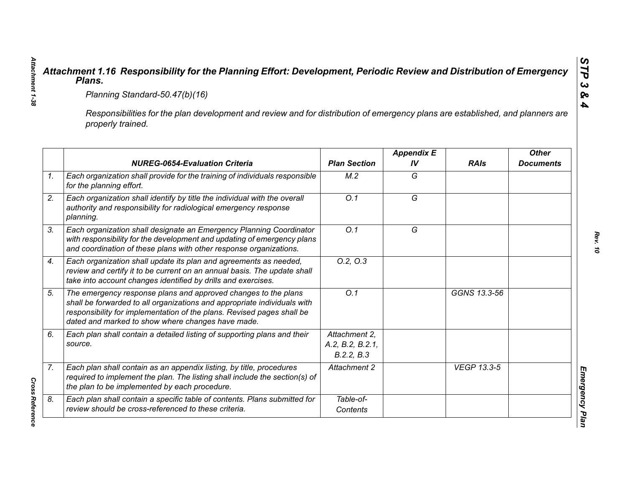|                                                                                                                                                     | Planning Standard-50.47(b)(16)                                                                                                                                                                                                                                            |                                                 |                         |                    |                                  |  |  |
|-----------------------------------------------------------------------------------------------------------------------------------------------------|---------------------------------------------------------------------------------------------------------------------------------------------------------------------------------------------------------------------------------------------------------------------------|-------------------------------------------------|-------------------------|--------------------|----------------------------------|--|--|
| Responsibilities for the plan development and review and for distribution of emergency plans are established, and planners are<br>properly trained. |                                                                                                                                                                                                                                                                           |                                                 |                         |                    |                                  |  |  |
|                                                                                                                                                     | <b>NUREG-0654-Evaluation Criteria</b>                                                                                                                                                                                                                                     | <b>Plan Section</b>                             | <b>Appendix E</b><br>IV | <b>RAIs</b>        | <b>Other</b><br><b>Documents</b> |  |  |
|                                                                                                                                                     | Each organization shall provide for the training of individuals responsible<br>for the planning effort.                                                                                                                                                                   | M.2                                             | G                       |                    |                                  |  |  |
|                                                                                                                                                     | Each organization shall identify by title the individual with the overall<br>authority and responsibility for radiological emergency response<br>planning.                                                                                                                | O.1                                             | $\overline{G}$          |                    |                                  |  |  |
|                                                                                                                                                     | Each organization shall designate an Emergency Planning Coordinator<br>with responsibility for the development and updating of emergency plans<br>and coordination of these plans with other response organizations.                                                      | O.1                                             | G                       |                    |                                  |  |  |
|                                                                                                                                                     | Each organization shall update its plan and agreements as needed,<br>review and certify it to be current on an annual basis. The update shall<br>take into account changes identified by drills and exercises.                                                            | 0.2, 0.3                                        |                         |                    |                                  |  |  |
|                                                                                                                                                     | The emergency response plans and approved changes to the plans<br>shall be forwarded to all organizations and appropriate individuals with<br>responsibility for implementation of the plans. Revised pages shall be<br>dated and marked to show where changes have made. | O.1                                             |                         | GGNS 13.3-56       |                                  |  |  |
|                                                                                                                                                     | Each plan shall contain a detailed listing of supporting plans and their<br>source.                                                                                                                                                                                       | Attachment 2.<br>A.2, B.2, B.2.1,<br>B.2.2, B.3 |                         |                    |                                  |  |  |
|                                                                                                                                                     | Each plan shall contain as an appendix listing, by title, procedures<br>required to implement the plan. The listing shall include the section(s) of<br>the plan to be implemented by each procedure.                                                                      | Attachment 2                                    |                         | <b>VEGP 13.3-5</b> |                                  |  |  |
|                                                                                                                                                     | Each plan shall contain a specific table of contents. Plans submitted for<br>review should be cross-referenced to these criteria.                                                                                                                                         | Table-of-<br>Contents                           |                         |                    |                                  |  |  |

*Attachment 1-38*